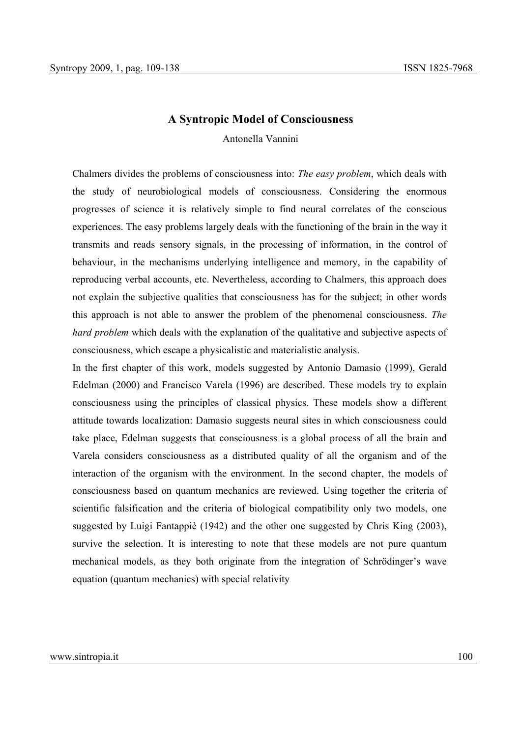# **A Syntropic Model of Consciousness**

Antonella Vannini

Chalmers divides the problems of consciousness into: *The easy problem*, which deals with the study of neurobiological models of consciousness. Considering the enormous progresses of science it is relatively simple to find neural correlates of the conscious experiences. The easy problems largely deals with the functioning of the brain in the way it transmits and reads sensory signals, in the processing of information, in the control of behaviour, in the mechanisms underlying intelligence and memory, in the capability of reproducing verbal accounts, etc. Nevertheless, according to Chalmers, this approach does not explain the subjective qualities that consciousness has for the subject; in other words this approach is not able to answer the problem of the phenomenal consciousness. *The hard problem* which deals with the explanation of the qualitative and subjective aspects of consciousness, which escape a physicalistic and materialistic analysis.

In the first chapter of this work, models suggested by Antonio Damasio (1999), Gerald Edelman (2000) and Francisco Varela (1996) are described. These models try to explain consciousness using the principles of classical physics. These models show a different attitude towards localization: Damasio suggests neural sites in which consciousness could take place, Edelman suggests that consciousness is a global process of all the brain and Varela considers consciousness as a distributed quality of all the organism and of the interaction of the organism with the environment. In the second chapter, the models of consciousness based on quantum mechanics are reviewed. Using together the criteria of scientific falsification and the criteria of biological compatibility only two models, one suggested by Luigi Fantappiè (1942) and the other one suggested by Chris King (2003), survive the selection. It is interesting to note that these models are not pure quantum mechanical models, as they both originate from the integration of Schrödinger's wave equation (quantum mechanics) with special relativity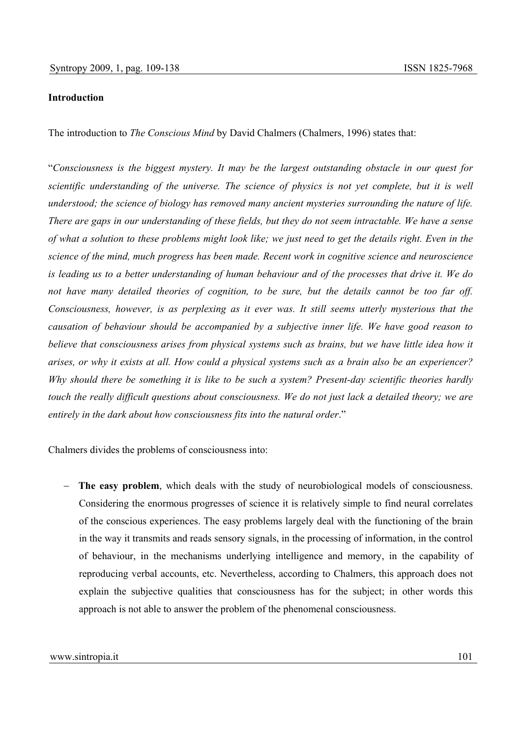# **Introduction**

The introduction to *The Conscious Mind* by David Chalmers (Chalmers, 1996) states that:

"*Consciousness is the biggest mystery. It may be the largest outstanding obstacle in our quest for scientific understanding of the universe. The science of physics is not yet complete, but it is well understood; the science of biology has removed many ancient mysteries surrounding the nature of life. There are gaps in our understanding of these fields, but they do not seem intractable. We have a sense of what a solution to these problems might look like; we just need to get the details right. Even in the science of the mind, much progress has been made. Recent work in cognitive science and neuroscience is leading us to a better understanding of human behaviour and of the processes that drive it. We do not have many detailed theories of cognition, to be sure, but the details cannot be too far off. Consciousness, however, is as perplexing as it ever was. It still seems utterly mysterious that the causation of behaviour should be accompanied by a subjective inner life. We have good reason to believe that consciousness arises from physical systems such as brains, but we have little idea how it arises, or why it exists at all. How could a physical systems such as a brain also be an experiencer? Why should there be something it is like to be such a system? Present-day scientific theories hardly touch the really difficult questions about consciousness. We do not just lack a detailed theory; we are entirely in the dark about how consciousness fits into the natural order*."

Chalmers divides the problems of consciousness into:

− **The easy problem**, which deals with the study of neurobiological models of consciousness. Considering the enormous progresses of science it is relatively simple to find neural correlates of the conscious experiences. The easy problems largely deal with the functioning of the brain in the way it transmits and reads sensory signals, in the processing of information, in the control of behaviour, in the mechanisms underlying intelligence and memory, in the capability of reproducing verbal accounts, etc. Nevertheless, according to Chalmers, this approach does not explain the subjective qualities that consciousness has for the subject; in other words this approach is not able to answer the problem of the phenomenal consciousness.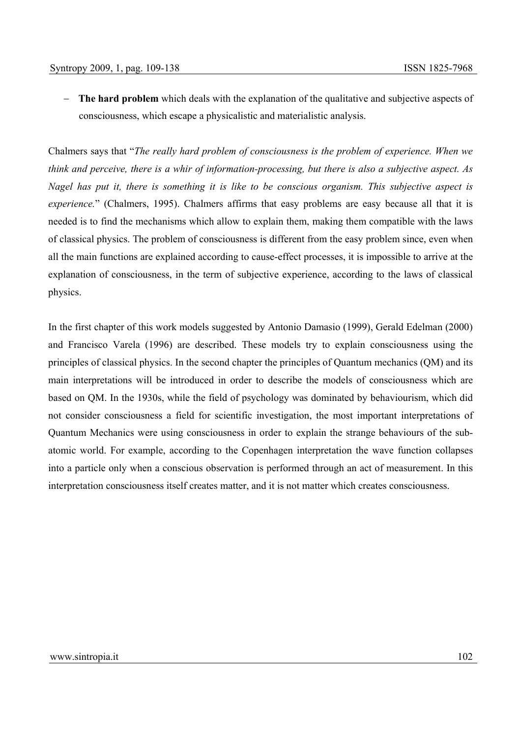− **The hard problem** which deals with the explanation of the qualitative and subjective aspects of consciousness, which escape a physicalistic and materialistic analysis.

Chalmers says that "*The really hard problem of consciousness is the problem of experience. When we think and perceive, there is a whir of information-processing, but there is also a subjective aspect. As Nagel has put it, there is something it is like to be conscious organism. This subjective aspect is experience.*" (Chalmers, 1995). Chalmers affirms that easy problems are easy because all that it is needed is to find the mechanisms which allow to explain them, making them compatible with the laws of classical physics. The problem of consciousness is different from the easy problem since, even when all the main functions are explained according to cause-effect processes, it is impossible to arrive at the explanation of consciousness, in the term of subjective experience, according to the laws of classical physics.

In the first chapter of this work models suggested by Antonio Damasio (1999), Gerald Edelman (2000) and Francisco Varela (1996) are described. These models try to explain consciousness using the principles of classical physics. In the second chapter the principles of Quantum mechanics (QM) and its main interpretations will be introduced in order to describe the models of consciousness which are based on QM. In the 1930s, while the field of psychology was dominated by behaviourism, which did not consider consciousness a field for scientific investigation, the most important interpretations of Quantum Mechanics were using consciousness in order to explain the strange behaviours of the subatomic world. For example, according to the Copenhagen interpretation the wave function collapses into a particle only when a conscious observation is performed through an act of measurement. In this interpretation consciousness itself creates matter, and it is not matter which creates consciousness.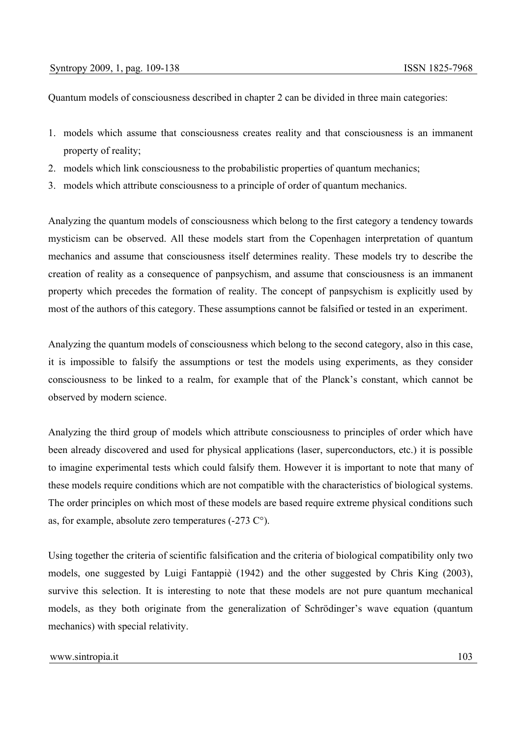Quantum models of consciousness described in chapter 2 can be divided in three main categories:

- 1. models which assume that consciousness creates reality and that consciousness is an immanent property of reality;
- 2. models which link consciousness to the probabilistic properties of quantum mechanics;
- 3. models which attribute consciousness to a principle of order of quantum mechanics.

Analyzing the quantum models of consciousness which belong to the first category a tendency towards mysticism can be observed. All these models start from the Copenhagen interpretation of quantum mechanics and assume that consciousness itself determines reality. These models try to describe the creation of reality as a consequence of panpsychism, and assume that consciousness is an immanent property which precedes the formation of reality. The concept of panpsychism is explicitly used by most of the authors of this category. These assumptions cannot be falsified or tested in an experiment.

Analyzing the quantum models of consciousness which belong to the second category, also in this case, it is impossible to falsify the assumptions or test the models using experiments, as they consider consciousness to be linked to a realm, for example that of the Planck's constant, which cannot be observed by modern science.

Analyzing the third group of models which attribute consciousness to principles of order which have been already discovered and used for physical applications (laser, superconductors, etc.) it is possible to imagine experimental tests which could falsify them. However it is important to note that many of these models require conditions which are not compatible with the characteristics of biological systems. The order principles on which most of these models are based require extreme physical conditions such as, for example, absolute zero temperatures (-273 C°).

Using together the criteria of scientific falsification and the criteria of biological compatibility only two models, one suggested by Luigi Fantappiè (1942) and the other suggested by Chris King (2003), survive this selection. It is interesting to note that these models are not pure quantum mechanical models, as they both originate from the generalization of Schrödinger's wave equation (quantum mechanics) with special relativity.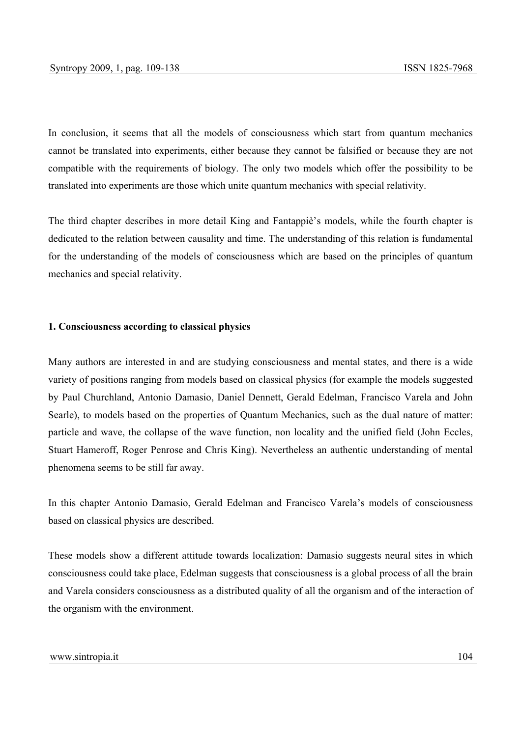In conclusion, it seems that all the models of consciousness which start from quantum mechanics cannot be translated into experiments, either because they cannot be falsified or because they are not compatible with the requirements of biology. The only two models which offer the possibility to be translated into experiments are those which unite quantum mechanics with special relativity.

The third chapter describes in more detail King and Fantappiè's models, while the fourth chapter is dedicated to the relation between causality and time. The understanding of this relation is fundamental for the understanding of the models of consciousness which are based on the principles of quantum mechanics and special relativity.

#### **1. Consciousness according to classical physics**

Many authors are interested in and are studying consciousness and mental states, and there is a wide variety of positions ranging from models based on classical physics (for example the models suggested by Paul Churchland, Antonio Damasio, Daniel Dennett, Gerald Edelman, Francisco Varela and John Searle), to models based on the properties of Quantum Mechanics, such as the dual nature of matter: particle and wave, the collapse of the wave function, non locality and the unified field (John Eccles, Stuart Hameroff, Roger Penrose and Chris King). Nevertheless an authentic understanding of mental phenomena seems to be still far away.

In this chapter Antonio Damasio, Gerald Edelman and Francisco Varela's models of consciousness based on classical physics are described.

These models show a different attitude towards localization: Damasio suggests neural sites in which consciousness could take place, Edelman suggests that consciousness is a global process of all the brain and Varela considers consciousness as a distributed quality of all the organism and of the interaction of the organism with the environment.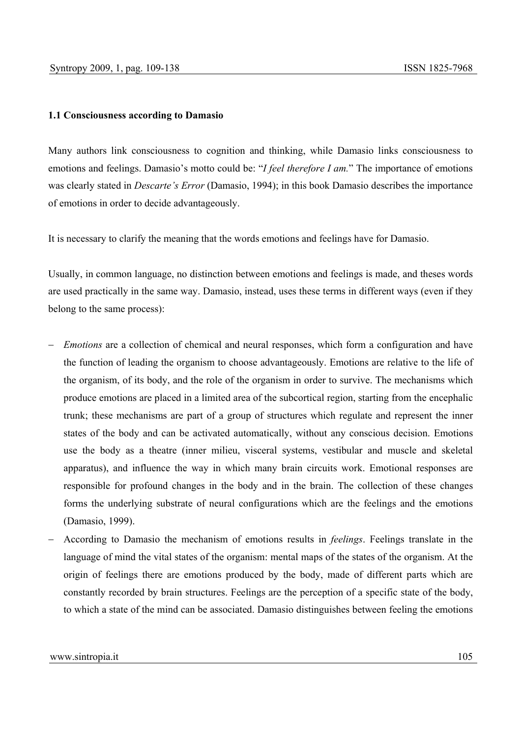# **1.1 Consciousness according to Damasio**

Many authors link consciousness to cognition and thinking, while Damasio links consciousness to emotions and feelings. Damasio's motto could be: "*I feel therefore I am.*" The importance of emotions was clearly stated in *Descarte's Error* (Damasio, 1994); in this book Damasio describes the importance of emotions in order to decide advantageously.

It is necessary to clarify the meaning that the words emotions and feelings have for Damasio.

Usually, in common language, no distinction between emotions and feelings is made, and theses words are used practically in the same way. Damasio, instead, uses these terms in different ways (even if they belong to the same process):

- *Emotions* are a collection of chemical and neural responses, which form a configuration and have the function of leading the organism to choose advantageously. Emotions are relative to the life of the organism, of its body, and the role of the organism in order to survive. The mechanisms which produce emotions are placed in a limited area of the subcortical region, starting from the encephalic trunk; these mechanisms are part of a group of structures which regulate and represent the inner states of the body and can be activated automatically, without any conscious decision. Emotions use the body as a theatre (inner milieu, visceral systems, vestibular and muscle and skeletal apparatus), and influence the way in which many brain circuits work. Emotional responses are responsible for profound changes in the body and in the brain. The collection of these changes forms the underlying substrate of neural configurations which are the feelings and the emotions (Damasio, 1999).
- − According to Damasio the mechanism of emotions results in *feelings*. Feelings translate in the language of mind the vital states of the organism: mental maps of the states of the organism. At the origin of feelings there are emotions produced by the body, made of different parts which are constantly recorded by brain structures. Feelings are the perception of a specific state of the body, to which a state of the mind can be associated. Damasio distinguishes between feeling the emotions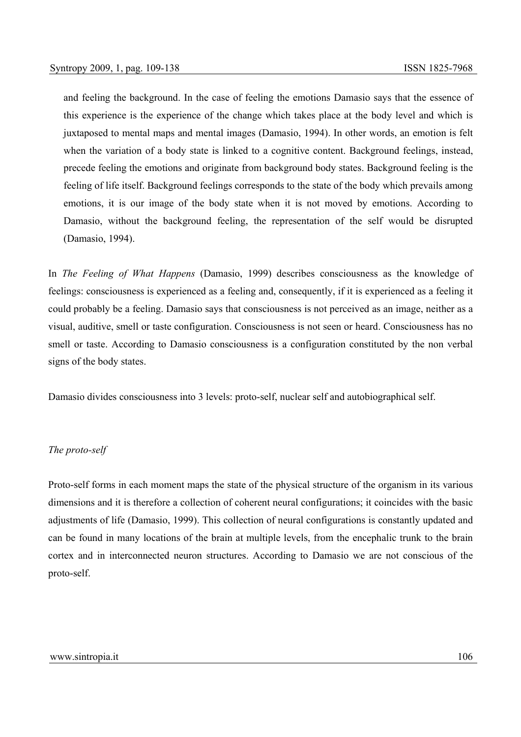and feeling the background. In the case of feeling the emotions Damasio says that the essence of this experience is the experience of the change which takes place at the body level and which is juxtaposed to mental maps and mental images (Damasio, 1994). In other words, an emotion is felt when the variation of a body state is linked to a cognitive content. Background feelings, instead, precede feeling the emotions and originate from background body states. Background feeling is the feeling of life itself. Background feelings corresponds to the state of the body which prevails among emotions, it is our image of the body state when it is not moved by emotions. According to Damasio, without the background feeling, the representation of the self would be disrupted (Damasio, 1994).

In *The Feeling of What Happens* (Damasio, 1999) describes consciousness as the knowledge of feelings: consciousness is experienced as a feeling and, consequently, if it is experienced as a feeling it could probably be a feeling. Damasio says that consciousness is not perceived as an image, neither as a visual, auditive, smell or taste configuration. Consciousness is not seen or heard. Consciousness has no smell or taste. According to Damasio consciousness is a configuration constituted by the non verbal signs of the body states.

Damasio divides consciousness into 3 levels: proto-self, nuclear self and autobiographical self.

# *The proto-self*

Proto-self forms in each moment maps the state of the physical structure of the organism in its various dimensions and it is therefore a collection of coherent neural configurations; it coincides with the basic adjustments of life (Damasio, 1999). This collection of neural configurations is constantly updated and can be found in many locations of the brain at multiple levels, from the encephalic trunk to the brain cortex and in interconnected neuron structures. According to Damasio we are not conscious of the proto-self.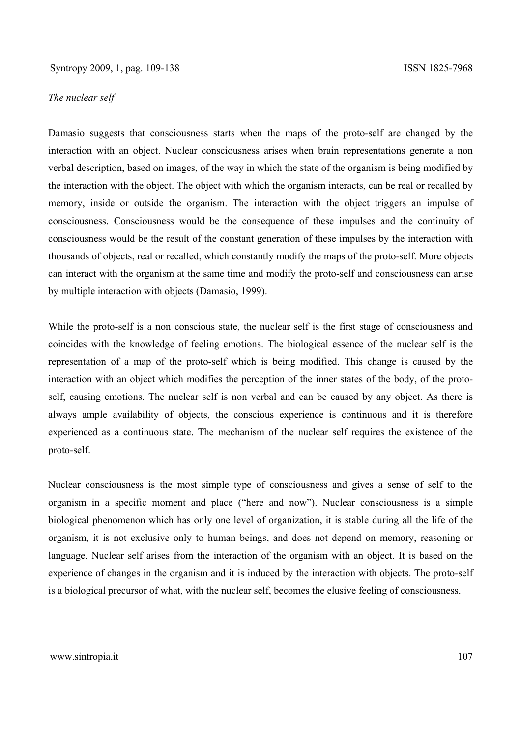## *The nuclear self*

Damasio suggests that consciousness starts when the maps of the proto-self are changed by the interaction with an object. Nuclear consciousness arises when brain representations generate a non verbal description, based on images, of the way in which the state of the organism is being modified by the interaction with the object. The object with which the organism interacts, can be real or recalled by memory, inside or outside the organism. The interaction with the object triggers an impulse of consciousness. Consciousness would be the consequence of these impulses and the continuity of consciousness would be the result of the constant generation of these impulses by the interaction with thousands of objects, real or recalled, which constantly modify the maps of the proto-self. More objects can interact with the organism at the same time and modify the proto-self and consciousness can arise by multiple interaction with objects (Damasio, 1999).

While the proto-self is a non conscious state, the nuclear self is the first stage of consciousness and coincides with the knowledge of feeling emotions. The biological essence of the nuclear self is the representation of a map of the proto-self which is being modified. This change is caused by the interaction with an object which modifies the perception of the inner states of the body, of the protoself, causing emotions. The nuclear self is non verbal and can be caused by any object. As there is always ample availability of objects, the conscious experience is continuous and it is therefore experienced as a continuous state. The mechanism of the nuclear self requires the existence of the proto-self.

Nuclear consciousness is the most simple type of consciousness and gives a sense of self to the organism in a specific moment and place ("here and now"). Nuclear consciousness is a simple biological phenomenon which has only one level of organization, it is stable during all the life of the organism, it is not exclusive only to human beings, and does not depend on memory, reasoning or language. Nuclear self arises from the interaction of the organism with an object. It is based on the experience of changes in the organism and it is induced by the interaction with objects. The proto-self is a biological precursor of what, with the nuclear self, becomes the elusive feeling of consciousness.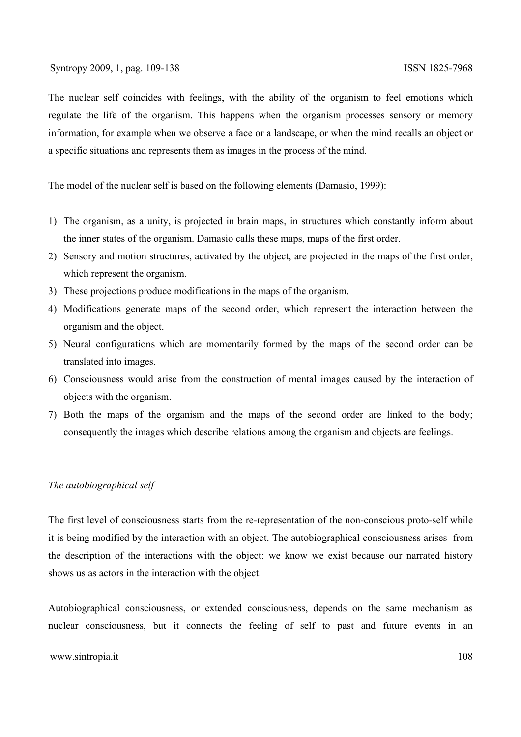The nuclear self coincides with feelings, with the ability of the organism to feel emotions which regulate the life of the organism. This happens when the organism processes sensory or memory information, for example when we observe a face or a landscape, or when the mind recalls an object or a specific situations and represents them as images in the process of the mind.

The model of the nuclear self is based on the following elements (Damasio, 1999):

- 1) The organism, as a unity, is projected in brain maps, in structures which constantly inform about the inner states of the organism. Damasio calls these maps, maps of the first order.
- 2) Sensory and motion structures, activated by the object, are projected in the maps of the first order, which represent the organism.
- 3) These projections produce modifications in the maps of the organism.
- 4) Modifications generate maps of the second order, which represent the interaction between the organism and the object.
- 5) Neural configurations which are momentarily formed by the maps of the second order can be translated into images.
- 6) Consciousness would arise from the construction of mental images caused by the interaction of objects with the organism.
- 7) Both the maps of the organism and the maps of the second order are linked to the body; consequently the images which describe relations among the organism and objects are feelings.

# *The autobiographical self*

The first level of consciousness starts from the re-representation of the non-conscious proto-self while it is being modified by the interaction with an object. The autobiographical consciousness arises from the description of the interactions with the object: we know we exist because our narrated history shows us as actors in the interaction with the object.

Autobiographical consciousness, or extended consciousness, depends on the same mechanism as nuclear consciousness, but it connects the feeling of self to past and future events in an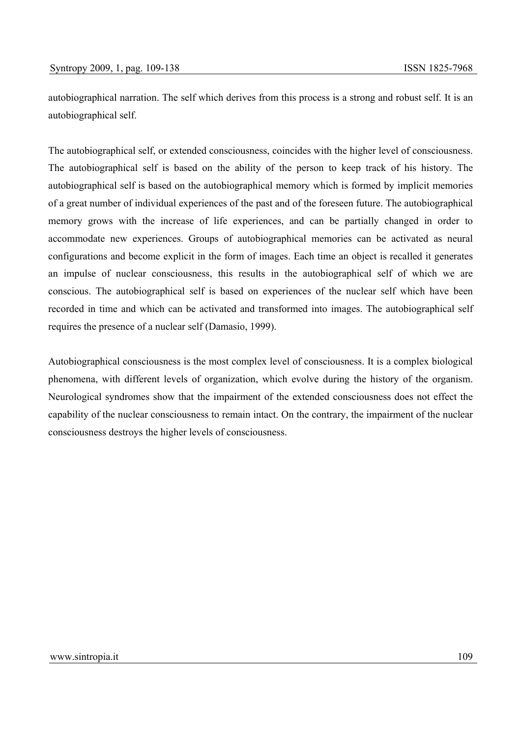autobiographical narration. The self which derives from this process is a strong and robust self. It is an autobiographical self.

The autobiographical self, or extended consciousness, coincides with the higher level of consciousness. The autobiographical self is based on the ability of the person to keep track of his history. The autobiographical self is based on the autobiographical memory which is formed by implicit memories of a great number of individual experiences of the past and of the foreseen future. The autobiographical memory grows with the increase of life experiences, and can be partially changed in order to accommodate new experiences. Groups of autobiographical memories can be activated as neural configurations and become explicit in the form of images. Each time an object is recalled it generates an impulse of nuclear consciousness, this results in the autobiographical self of which we are conscious. The autobiographical self is based on experiences of the nuclear self which have been recorded in time and which can be activated and transformed into images. The autobiographical self requires the presence of a nuclear self (Damasio, 1999).

Autobiographical consciousness is the most complex level of consciousness. It is a complex biological phenomena, with different levels of organization, which evolve during the history of the organism. Neurological syndromes show that the impairment of the extended consciousness does not effect the capability of the nuclear consciousness to remain intact. On the contrary, the impairment of the nuclear consciousness destroys the higher levels of consciousness.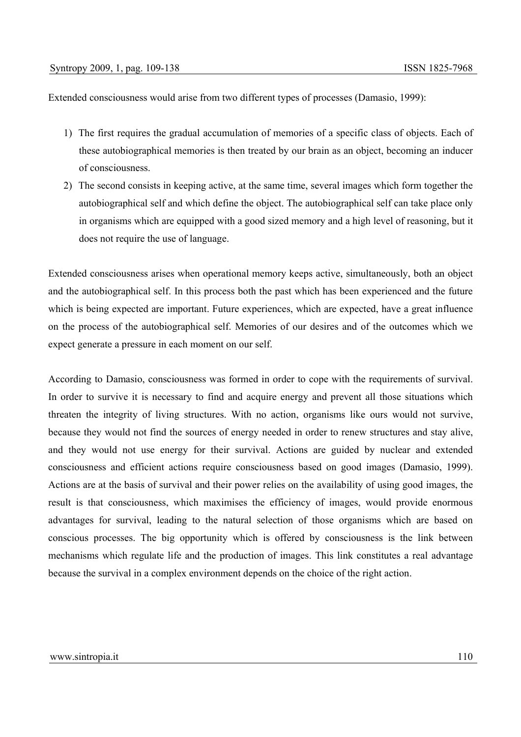Extended consciousness would arise from two different types of processes (Damasio, 1999):

- 1) The first requires the gradual accumulation of memories of a specific class of objects. Each of these autobiographical memories is then treated by our brain as an object, becoming an inducer of consciousness.
- 2) The second consists in keeping active, at the same time, several images which form together the autobiographical self and which define the object. The autobiographical self can take place only in organisms which are equipped with a good sized memory and a high level of reasoning, but it does not require the use of language.

Extended consciousness arises when operational memory keeps active, simultaneously, both an object and the autobiographical self. In this process both the past which has been experienced and the future which is being expected are important. Future experiences, which are expected, have a great influence on the process of the autobiographical self. Memories of our desires and of the outcomes which we expect generate a pressure in each moment on our self.

According to Damasio, consciousness was formed in order to cope with the requirements of survival. In order to survive it is necessary to find and acquire energy and prevent all those situations which threaten the integrity of living structures. With no action, organisms like ours would not survive, because they would not find the sources of energy needed in order to renew structures and stay alive, and they would not use energy for their survival. Actions are guided by nuclear and extended consciousness and efficient actions require consciousness based on good images (Damasio, 1999). Actions are at the basis of survival and their power relies on the availability of using good images, the result is that consciousness, which maximises the efficiency of images, would provide enormous advantages for survival, leading to the natural selection of those organisms which are based on conscious processes. The big opportunity which is offered by consciousness is the link between mechanisms which regulate life and the production of images. This link constitutes a real advantage because the survival in a complex environment depends on the choice of the right action.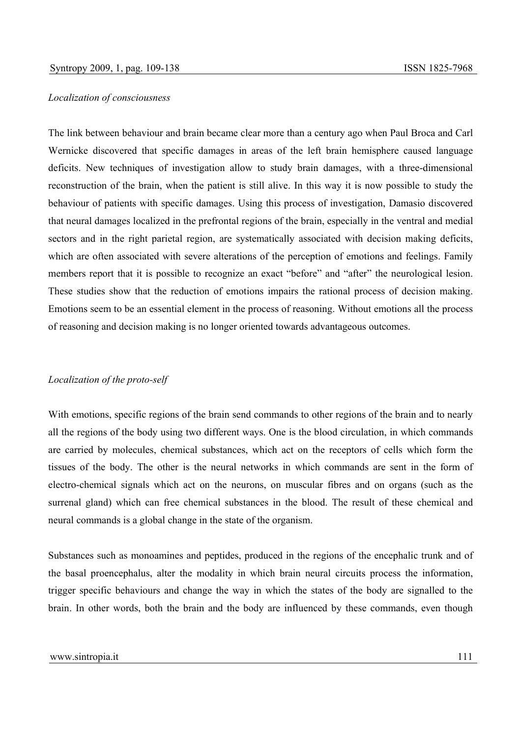#### *Localization of consciousness*

The link between behaviour and brain became clear more than a century ago when Paul Broca and Carl Wernicke discovered that specific damages in areas of the left brain hemisphere caused language deficits. New techniques of investigation allow to study brain damages, with a three-dimensional reconstruction of the brain, when the patient is still alive. In this way it is now possible to study the behaviour of patients with specific damages. Using this process of investigation, Damasio discovered that neural damages localized in the prefrontal regions of the brain, especially in the ventral and medial sectors and in the right parietal region, are systematically associated with decision making deficits, which are often associated with severe alterations of the perception of emotions and feelings. Family members report that it is possible to recognize an exact "before" and "after" the neurological lesion. These studies show that the reduction of emotions impairs the rational process of decision making. Emotions seem to be an essential element in the process of reasoning. Without emotions all the process of reasoning and decision making is no longer oriented towards advantageous outcomes.

# *Localization of the proto-self*

With emotions, specific regions of the brain send commands to other regions of the brain and to nearly all the regions of the body using two different ways. One is the blood circulation, in which commands are carried by molecules, chemical substances, which act on the receptors of cells which form the tissues of the body. The other is the neural networks in which commands are sent in the form of electro-chemical signals which act on the neurons, on muscular fibres and on organs (such as the surrenal gland) which can free chemical substances in the blood. The result of these chemical and neural commands is a global change in the state of the organism.

Substances such as monoamines and peptides, produced in the regions of the encephalic trunk and of the basal proencephalus, alter the modality in which brain neural circuits process the information, trigger specific behaviours and change the way in which the states of the body are signalled to the brain. In other words, both the brain and the body are influenced by these commands, even though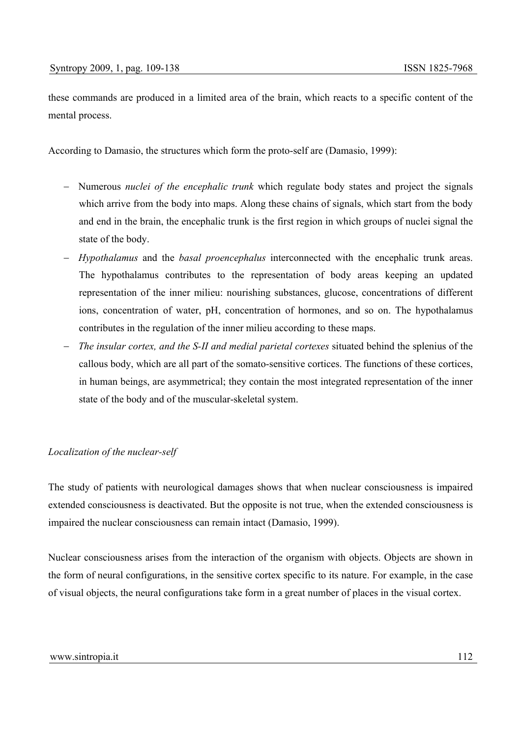these commands are produced in a limited area of the brain, which reacts to a specific content of the mental process.

According to Damasio, the structures which form the proto-self are (Damasio, 1999):

- − Numerous *nuclei of the encephalic trunk* which regulate body states and project the signals which arrive from the body into maps. Along these chains of signals, which start from the body and end in the brain, the encephalic trunk is the first region in which groups of nuclei signal the state of the body.
- − *Hypothalamus* and the *basal proencephalus* interconnected with the encephalic trunk areas. The hypothalamus contributes to the representation of body areas keeping an updated representation of the inner milieu: nourishing substances, glucose, concentrations of different ions, concentration of water, pH, concentration of hormones, and so on. The hypothalamus contributes in the regulation of the inner milieu according to these maps.
- − *The insular cortex, and the S-II and medial parietal cortexes* situated behind the splenius of the callous body, which are all part of the somato-sensitive cortices. The functions of these cortices, in human beings, are asymmetrical; they contain the most integrated representation of the inner state of the body and of the muscular-skeletal system.

## *Localization of the nuclear-self*

The study of patients with neurological damages shows that when nuclear consciousness is impaired extended consciousness is deactivated. But the opposite is not true, when the extended consciousness is impaired the nuclear consciousness can remain intact (Damasio, 1999).

Nuclear consciousness arises from the interaction of the organism with objects. Objects are shown in the form of neural configurations, in the sensitive cortex specific to its nature. For example, in the case of visual objects, the neural configurations take form in a great number of places in the visual cortex.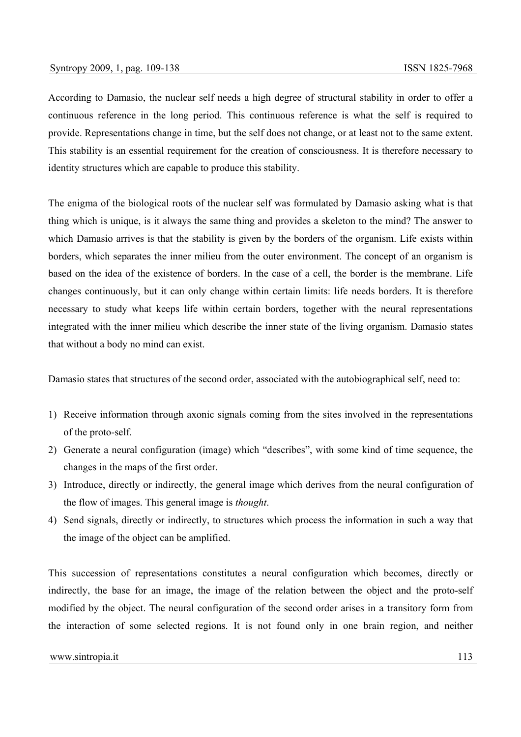According to Damasio, the nuclear self needs a high degree of structural stability in order to offer a continuous reference in the long period. This continuous reference is what the self is required to provide. Representations change in time, but the self does not change, or at least not to the same extent. This stability is an essential requirement for the creation of consciousness. It is therefore necessary to identity structures which are capable to produce this stability.

The enigma of the biological roots of the nuclear self was formulated by Damasio asking what is that thing which is unique, is it always the same thing and provides a skeleton to the mind? The answer to which Damasio arrives is that the stability is given by the borders of the organism. Life exists within borders, which separates the inner milieu from the outer environment. The concept of an organism is based on the idea of the existence of borders. In the case of a cell, the border is the membrane. Life changes continuously, but it can only change within certain limits: life needs borders. It is therefore necessary to study what keeps life within certain borders, together with the neural representations integrated with the inner milieu which describe the inner state of the living organism. Damasio states that without a body no mind can exist.

Damasio states that structures of the second order, associated with the autobiographical self, need to:

- 1) Receive information through axonic signals coming from the sites involved in the representations of the proto-self.
- 2) Generate a neural configuration (image) which "describes", with some kind of time sequence, the changes in the maps of the first order.
- 3) Introduce, directly or indirectly, the general image which derives from the neural configuration of the flow of images. This general image is *thought*.
- 4) Send signals, directly or indirectly, to structures which process the information in such a way that the image of the object can be amplified.

This succession of representations constitutes a neural configuration which becomes, directly or indirectly, the base for an image, the image of the relation between the object and the proto-self modified by the object. The neural configuration of the second order arises in a transitory form from the interaction of some selected regions. It is not found only in one brain region, and neither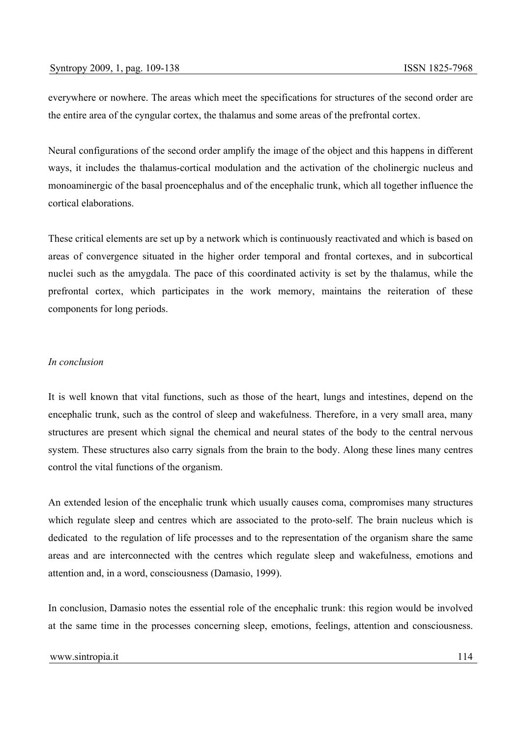everywhere or nowhere. The areas which meet the specifications for structures of the second order are the entire area of the cyngular cortex, the thalamus and some areas of the prefrontal cortex.

Neural configurations of the second order amplify the image of the object and this happens in different ways, it includes the thalamus-cortical modulation and the activation of the cholinergic nucleus and monoaminergic of the basal proencephalus and of the encephalic trunk, which all together influence the cortical elaborations.

These critical elements are set up by a network which is continuously reactivated and which is based on areas of convergence situated in the higher order temporal and frontal cortexes, and in subcortical nuclei such as the amygdala. The pace of this coordinated activity is set by the thalamus, while the prefrontal cortex, which participates in the work memory, maintains the reiteration of these components for long periods.

# *In conclusion*

It is well known that vital functions, such as those of the heart, lungs and intestines, depend on the encephalic trunk, such as the control of sleep and wakefulness. Therefore, in a very small area, many structures are present which signal the chemical and neural states of the body to the central nervous system. These structures also carry signals from the brain to the body. Along these lines many centres control the vital functions of the organism.

An extended lesion of the encephalic trunk which usually causes coma, compromises many structures which regulate sleep and centres which are associated to the proto-self. The brain nucleus which is dedicated to the regulation of life processes and to the representation of the organism share the same areas and are interconnected with the centres which regulate sleep and wakefulness, emotions and attention and, in a word, consciousness (Damasio, 1999).

In conclusion, Damasio notes the essential role of the encephalic trunk: this region would be involved at the same time in the processes concerning sleep, emotions, feelings, attention and consciousness.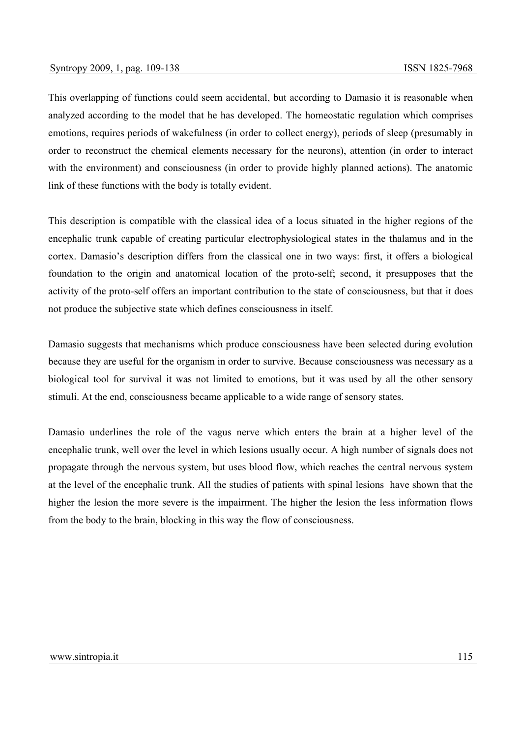This overlapping of functions could seem accidental, but according to Damasio it is reasonable when analyzed according to the model that he has developed. The homeostatic regulation which comprises emotions, requires periods of wakefulness (in order to collect energy), periods of sleep (presumably in order to reconstruct the chemical elements necessary for the neurons), attention (in order to interact with the environment) and consciousness (in order to provide highly planned actions). The anatomic link of these functions with the body is totally evident.

This description is compatible with the classical idea of a locus situated in the higher regions of the encephalic trunk capable of creating particular electrophysiological states in the thalamus and in the cortex. Damasio's description differs from the classical one in two ways: first, it offers a biological foundation to the origin and anatomical location of the proto-self; second, it presupposes that the activity of the proto-self offers an important contribution to the state of consciousness, but that it does not produce the subjective state which defines consciousness in itself.

Damasio suggests that mechanisms which produce consciousness have been selected during evolution because they are useful for the organism in order to survive. Because consciousness was necessary as a biological tool for survival it was not limited to emotions, but it was used by all the other sensory stimuli. At the end, consciousness became applicable to a wide range of sensory states.

Damasio underlines the role of the vagus nerve which enters the brain at a higher level of the encephalic trunk, well over the level in which lesions usually occur. A high number of signals does not propagate through the nervous system, but uses blood flow, which reaches the central nervous system at the level of the encephalic trunk. All the studies of patients with spinal lesions have shown that the higher the lesion the more severe is the impairment. The higher the lesion the less information flows from the body to the brain, blocking in this way the flow of consciousness.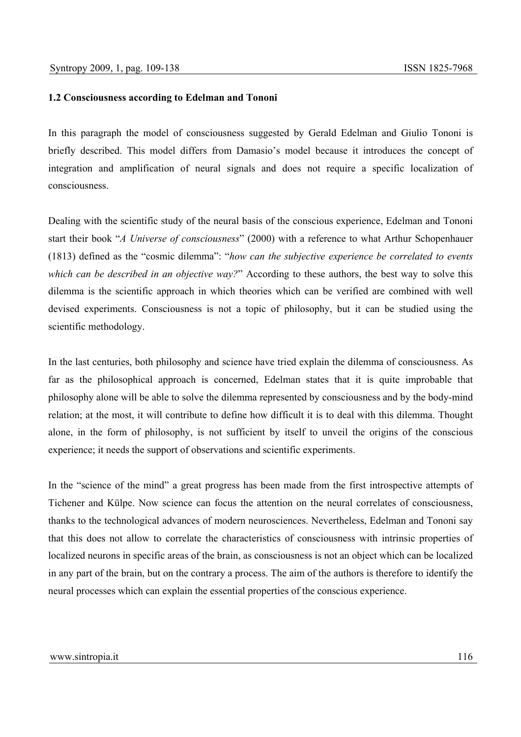### **1.2 Consciousness according to Edelman and Tononi**

In this paragraph the model of consciousness suggested by Gerald Edelman and Giulio Tononi is briefly described. This model differs from Damasio's model because it introduces the concept of integration and amplification of neural signals and does not require a specific localization of consciousness.

Dealing with the scientific study of the neural basis of the conscious experience, Edelman and Tononi start their book "*A Universe of consciousness*" (2000) with a reference to what Arthur Schopenhauer (1813) defined as the "cosmic dilemma": "*how can the subjective experience be correlated to events which can be described in an objective way?*" According to these authors, the best way to solve this dilemma is the scientific approach in which theories which can be verified are combined with well devised experiments. Consciousness is not a topic of philosophy, but it can be studied using the scientific methodology.

In the last centuries, both philosophy and science have tried explain the dilemma of consciousness. As far as the philosophical approach is concerned, Edelman states that it is quite improbable that philosophy alone will be able to solve the dilemma represented by consciousness and by the body-mind relation; at the most, it will contribute to define how difficult it is to deal with this dilemma. Thought alone, in the form of philosophy, is not sufficient by itself to unveil the origins of the conscious experience; it needs the support of observations and scientific experiments.

In the "science of the mind" a great progress has been made from the first introspective attempts of Tichener and Külpe. Now science can focus the attention on the neural correlates of consciousness, thanks to the technological advances of modern neurosciences. Nevertheless, Edelman and Tononi say that this does not allow to correlate the characteristics of consciousness with intrinsic properties of localized neurons in specific areas of the brain, as consciousness is not an object which can be localized in any part of the brain, but on the contrary a process. The aim of the authors is therefore to identify the neural processes which can explain the essential properties of the conscious experience.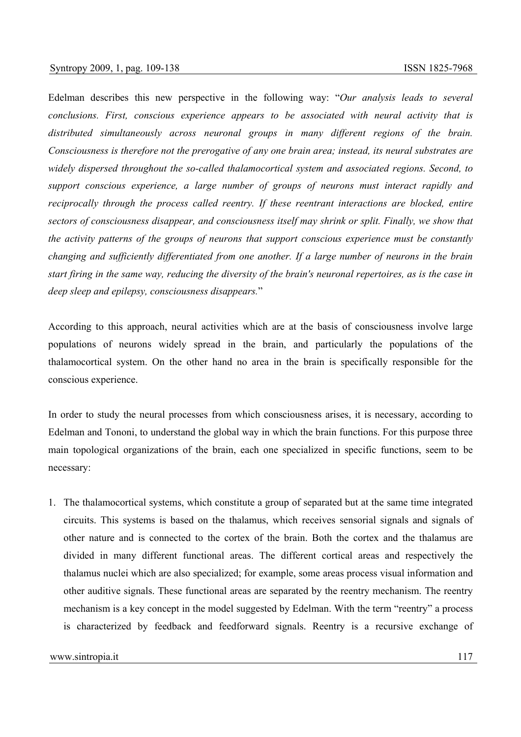Edelman describes this new perspective in the following way: "*Our analysis leads to several conclusions. First, conscious experience appears to be associated with neural activity that is distributed simultaneously across neuronal groups in many different regions of the brain. Consciousness is therefore not the prerogative of any one brain area; instead, its neural substrates are widely dispersed throughout the so-called thalamocortical system and associated regions. Second, to support conscious experience, a large number of groups of neurons must interact rapidly and reciprocally through the process called reentry. If these reentrant interactions are blocked, entire sectors of consciousness disappear, and consciousness itself may shrink or split. Finally, we show that the activity patterns of the groups of neurons that support conscious experience must be constantly changing and sufficiently differentiated from one another. If a large number of neurons in the brain start firing in the same way, reducing the diversity of the brain's neuronal repertoires, as is the case in deep sleep and epilepsy, consciousness disappears.*"

According to this approach, neural activities which are at the basis of consciousness involve large populations of neurons widely spread in the brain, and particularly the populations of the thalamocortical system. On the other hand no area in the brain is specifically responsible for the conscious experience.

In order to study the neural processes from which consciousness arises, it is necessary, according to Edelman and Tononi, to understand the global way in which the brain functions. For this purpose three main topological organizations of the brain, each one specialized in specific functions, seem to be necessary:

1. The thalamocortical systems, which constitute a group of separated but at the same time integrated circuits. This systems is based on the thalamus, which receives sensorial signals and signals of other nature and is connected to the cortex of the brain. Both the cortex and the thalamus are divided in many different functional areas. The different cortical areas and respectively the thalamus nuclei which are also specialized; for example, some areas process visual information and other auditive signals. These functional areas are separated by the reentry mechanism. The reentry mechanism is a key concept in the model suggested by Edelman. With the term "reentry" a process is characterized by feedback and feedforward signals. Reentry is a recursive exchange of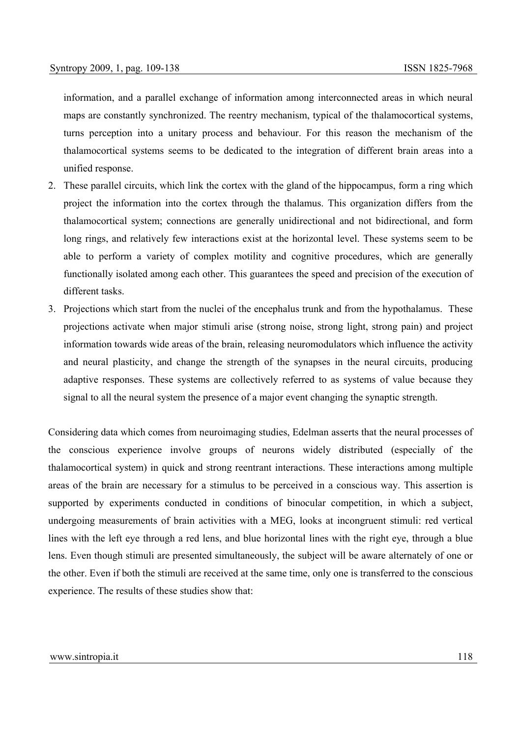information, and a parallel exchange of information among interconnected areas in which neural maps are constantly synchronized. The reentry mechanism, typical of the thalamocortical systems, turns perception into a unitary process and behaviour. For this reason the mechanism of the thalamocortical systems seems to be dedicated to the integration of different brain areas into a unified response.

- 2. These parallel circuits, which link the cortex with the gland of the hippocampus, form a ring which project the information into the cortex through the thalamus. This organization differs from the thalamocortical system; connections are generally unidirectional and not bidirectional, and form long rings, and relatively few interactions exist at the horizontal level. These systems seem to be able to perform a variety of complex motility and cognitive procedures, which are generally functionally isolated among each other. This guarantees the speed and precision of the execution of different tasks.
- 3. Projections which start from the nuclei of the encephalus trunk and from the hypothalamus. These projections activate when major stimuli arise (strong noise, strong light, strong pain) and project information towards wide areas of the brain, releasing neuromodulators which influence the activity and neural plasticity, and change the strength of the synapses in the neural circuits, producing adaptive responses. These systems are collectively referred to as systems of value because they signal to all the neural system the presence of a major event changing the synaptic strength.

Considering data which comes from neuroimaging studies, Edelman asserts that the neural processes of the conscious experience involve groups of neurons widely distributed (especially of the thalamocortical system) in quick and strong reentrant interactions. These interactions among multiple areas of the brain are necessary for a stimulus to be perceived in a conscious way. This assertion is supported by experiments conducted in conditions of binocular competition, in which a subject, undergoing measurements of brain activities with a MEG, looks at incongruent stimuli: red vertical lines with the left eye through a red lens, and blue horizontal lines with the right eye, through a blue lens. Even though stimuli are presented simultaneously, the subject will be aware alternately of one or the other. Even if both the stimuli are received at the same time, only one is transferred to the conscious experience. The results of these studies show that: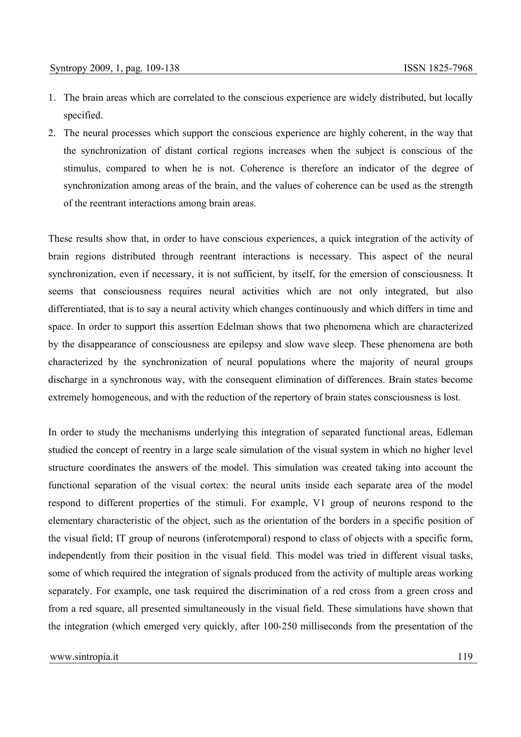- 1. The brain areas which are correlated to the conscious experience are widely distributed, but locally specified.
- 2. The neural processes which support the conscious experience are highly coherent, in the way that the synchronization of distant cortical regions increases when the subject is conscious of the stimulus, compared to when he is not. Coherence is therefore an indicator of the degree of synchronization among areas of the brain, and the values of coherence can be used as the strength of the reentrant interactions among brain areas.

These results show that, in order to have conscious experiences, a quick integration of the activity of brain regions distributed through reentrant interactions is necessary. This aspect of the neural synchronization, even if necessary, it is not sufficient, by itself, for the emersion of consciousness. It seems that consciousness requires neural activities which are not only integrated, but also differentiated, that is to say a neural activity which changes continuously and which differs in time and space. In order to support this assertion Edelman shows that two phenomena which are characterized by the disappearance of consciousness are epilepsy and slow wave sleep. These phenomena are both characterized by the synchronization of neural populations where the majority of neural groups discharge in a synchronous way, with the consequent elimination of differences. Brain states become extremely homogeneous, and with the reduction of the repertory of brain states consciousness is lost.

In order to study the mechanisms underlying this integration of separated functional areas, Edleman studied the concept of reentry in a large scale simulation of the visual system in which no higher level structure coordinates the answers of the model. This simulation was created taking into account the functional separation of the visual cortex: the neural units inside each separate area of the model respond to different properties of the stimuli. For example, V1 group of neurons respond to the elementary characteristic of the object, such as the orientation of the borders in a specific position of the visual field; IT group of neurons (inferotemporal) respond to class of objects with a specific form, independently from their position in the visual field. This model was tried in different visual tasks, some of which required the integration of signals produced from the activity of multiple areas working separately. For example, one task required the discrimination of a red cross from a green cross and from a red square, all presented simultaneously in the visual field. These simulations have shown that the integration (which emerged very quickly, after 100-250 milliseconds from the presentation of the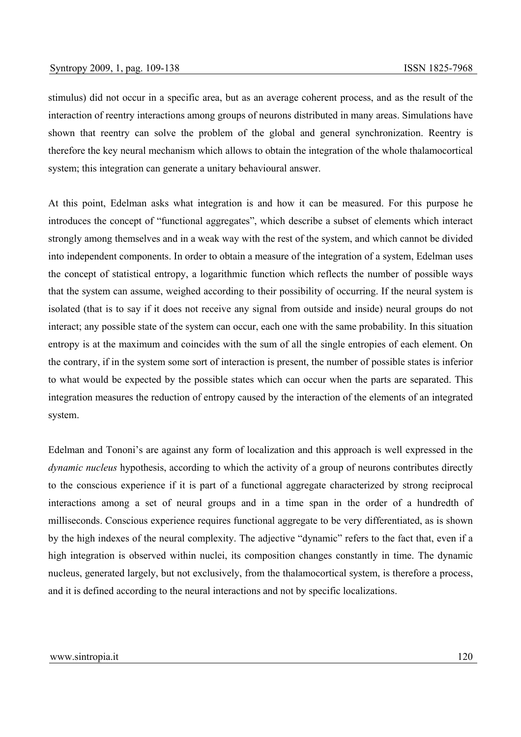stimulus) did not occur in a specific area, but as an average coherent process, and as the result of the interaction of reentry interactions among groups of neurons distributed in many areas. Simulations have shown that reentry can solve the problem of the global and general synchronization. Reentry is therefore the key neural mechanism which allows to obtain the integration of the whole thalamocortical system; this integration can generate a unitary behavioural answer.

At this point, Edelman asks what integration is and how it can be measured. For this purpose he introduces the concept of "functional aggregates", which describe a subset of elements which interact strongly among themselves and in a weak way with the rest of the system, and which cannot be divided into independent components. In order to obtain a measure of the integration of a system, Edelman uses the concept of statistical entropy, a logarithmic function which reflects the number of possible ways that the system can assume, weighed according to their possibility of occurring. If the neural system is isolated (that is to say if it does not receive any signal from outside and inside) neural groups do not interact; any possible state of the system can occur, each one with the same probability. In this situation entropy is at the maximum and coincides with the sum of all the single entropies of each element. On the contrary, if in the system some sort of interaction is present, the number of possible states is inferior to what would be expected by the possible states which can occur when the parts are separated. This integration measures the reduction of entropy caused by the interaction of the elements of an integrated system.

Edelman and Tononi's are against any form of localization and this approach is well expressed in the *dynamic nucleus* hypothesis, according to which the activity of a group of neurons contributes directly to the conscious experience if it is part of a functional aggregate characterized by strong reciprocal interactions among a set of neural groups and in a time span in the order of a hundredth of milliseconds. Conscious experience requires functional aggregate to be very differentiated, as is shown by the high indexes of the neural complexity. The adjective "dynamic" refers to the fact that, even if a high integration is observed within nuclei, its composition changes constantly in time. The dynamic nucleus, generated largely, but not exclusively, from the thalamocortical system, is therefore a process, and it is defined according to the neural interactions and not by specific localizations.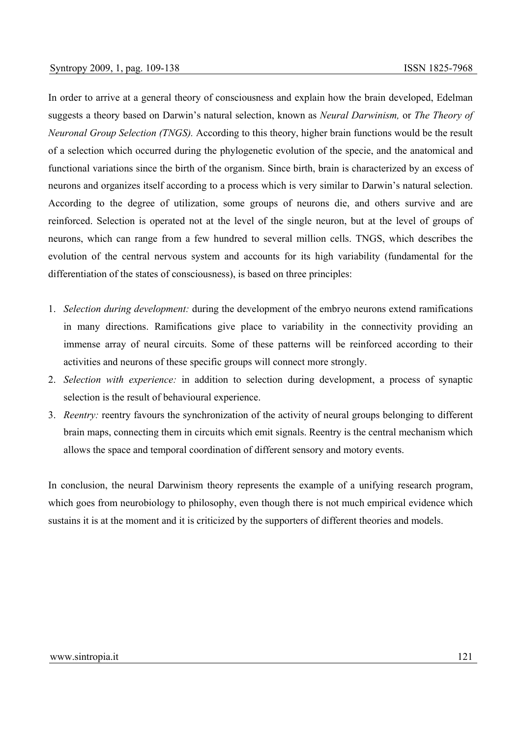In order to arrive at a general theory of consciousness and explain how the brain developed, Edelman suggests a theory based on Darwin's natural selection, known as *Neural Darwinism,* or *The Theory of Neuronal Group Selection (TNGS).* According to this theory, higher brain functions would be the result of a selection which occurred during the phylogenetic evolution of the specie, and the anatomical and functional variations since the birth of the organism. Since birth, brain is characterized by an excess of neurons and organizes itself according to a process which is very similar to Darwin's natural selection. According to the degree of utilization, some groups of neurons die, and others survive and are reinforced. Selection is operated not at the level of the single neuron, but at the level of groups of neurons, which can range from a few hundred to several million cells. TNGS, which describes the evolution of the central nervous system and accounts for its high variability (fundamental for the differentiation of the states of consciousness), is based on three principles:

- 1. *Selection during development:* during the development of the embryo neurons extend ramifications in many directions. Ramifications give place to variability in the connectivity providing an immense array of neural circuits. Some of these patterns will be reinforced according to their activities and neurons of these specific groups will connect more strongly.
- 2. *Selection with experience:* in addition to selection during development, a process of synaptic selection is the result of behavioural experience.
- 3. *Reentry:* reentry favours the synchronization of the activity of neural groups belonging to different brain maps, connecting them in circuits which emit signals. Reentry is the central mechanism which allows the space and temporal coordination of different sensory and motory events.

In conclusion, the neural Darwinism theory represents the example of a unifying research program, which goes from neurobiology to philosophy, even though there is not much empirical evidence which sustains it is at the moment and it is criticized by the supporters of different theories and models.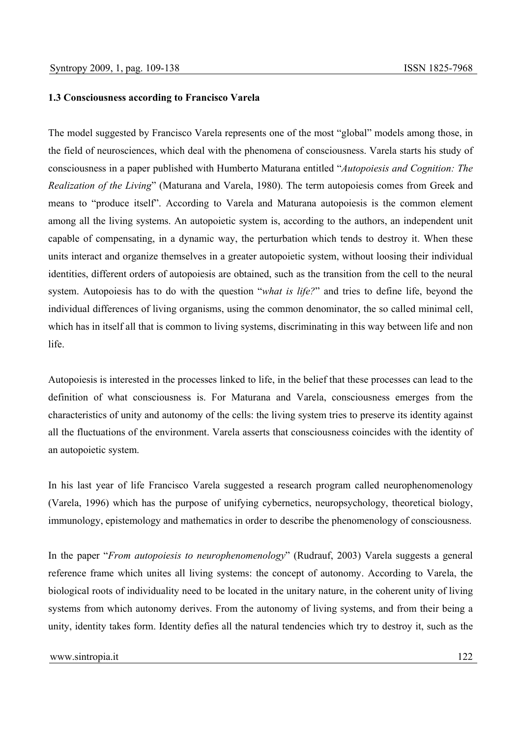### **1.3 Consciousness according to Francisco Varela**

The model suggested by Francisco Varela represents one of the most "global" models among those, in the field of neurosciences, which deal with the phenomena of consciousness. Varela starts his study of consciousness in a paper published with Humberto Maturana entitled "*Autopoiesis and Cognition: The Realization of the Living*" (Maturana and Varela, 1980). The term autopoiesis comes from Greek and means to "produce itself". According to Varela and Maturana autopoiesis is the common element among all the living systems. An autopoietic system is, according to the authors, an independent unit capable of compensating, in a dynamic way, the perturbation which tends to destroy it. When these units interact and organize themselves in a greater autopoietic system, without loosing their individual identities, different orders of autopoiesis are obtained, such as the transition from the cell to the neural system. Autopoiesis has to do with the question "*what is life?*" and tries to define life, beyond the individual differences of living organisms, using the common denominator, the so called minimal cell, which has in itself all that is common to living systems, discriminating in this way between life and non life.

Autopoiesis is interested in the processes linked to life, in the belief that these processes can lead to the definition of what consciousness is. For Maturana and Varela, consciousness emerges from the characteristics of unity and autonomy of the cells: the living system tries to preserve its identity against all the fluctuations of the environment. Varela asserts that consciousness coincides with the identity of an autopoietic system.

In his last year of life Francisco Varela suggested a research program called neurophenomenology (Varela, 1996) which has the purpose of unifying cybernetics, neuropsychology, theoretical biology, immunology, epistemology and mathematics in order to describe the phenomenology of consciousness.

In the paper "*From autopoiesis to neurophenomenology*" (Rudrauf, 2003) Varela suggests a general reference frame which unites all living systems: the concept of autonomy. According to Varela, the biological roots of individuality need to be located in the unitary nature, in the coherent unity of living systems from which autonomy derives. From the autonomy of living systems, and from their being a unity, identity takes form. Identity defies all the natural tendencies which try to destroy it, such as the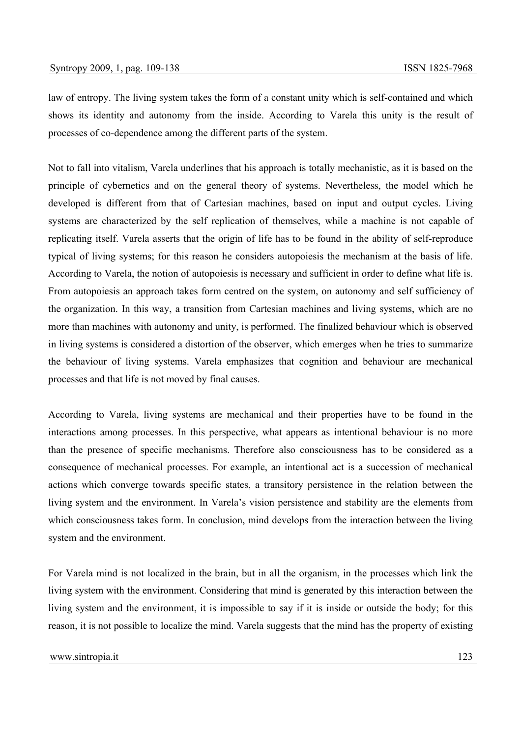law of entropy. The living system takes the form of a constant unity which is self-contained and which shows its identity and autonomy from the inside. According to Varela this unity is the result of processes of co-dependence among the different parts of the system.

Not to fall into vitalism, Varela underlines that his approach is totally mechanistic, as it is based on the principle of cybernetics and on the general theory of systems. Nevertheless, the model which he developed is different from that of Cartesian machines, based on input and output cycles. Living systems are characterized by the self replication of themselves, while a machine is not capable of replicating itself. Varela asserts that the origin of life has to be found in the ability of self-reproduce typical of living systems; for this reason he considers autopoiesis the mechanism at the basis of life. According to Varela, the notion of autopoiesis is necessary and sufficient in order to define what life is. From autopoiesis an approach takes form centred on the system, on autonomy and self sufficiency of the organization. In this way, a transition from Cartesian machines and living systems, which are no more than machines with autonomy and unity, is performed. The finalized behaviour which is observed in living systems is considered a distortion of the observer, which emerges when he tries to summarize the behaviour of living systems. Varela emphasizes that cognition and behaviour are mechanical processes and that life is not moved by final causes.

According to Varela, living systems are mechanical and their properties have to be found in the interactions among processes. In this perspective, what appears as intentional behaviour is no more than the presence of specific mechanisms. Therefore also consciousness has to be considered as a consequence of mechanical processes. For example, an intentional act is a succession of mechanical actions which converge towards specific states, a transitory persistence in the relation between the living system and the environment. In Varela's vision persistence and stability are the elements from which consciousness takes form. In conclusion, mind develops from the interaction between the living system and the environment.

For Varela mind is not localized in the brain, but in all the organism, in the processes which link the living system with the environment. Considering that mind is generated by this interaction between the living system and the environment, it is impossible to say if it is inside or outside the body; for this reason, it is not possible to localize the mind. Varela suggests that the mind has the property of existing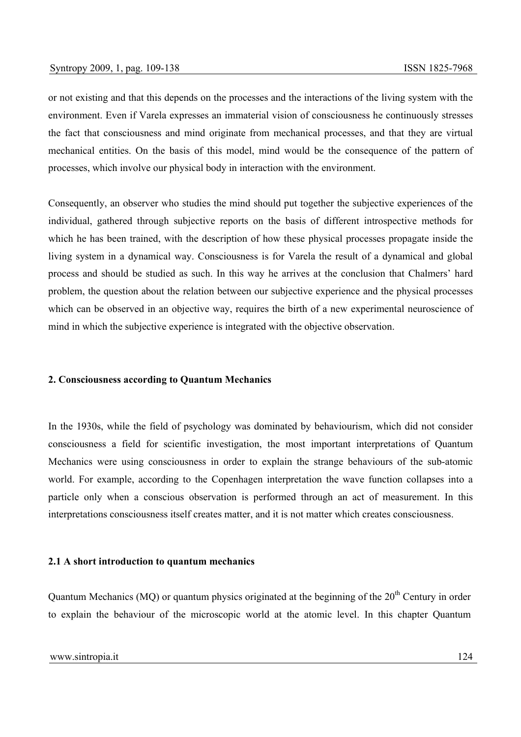or not existing and that this depends on the processes and the interactions of the living system with the environment. Even if Varela expresses an immaterial vision of consciousness he continuously stresses the fact that consciousness and mind originate from mechanical processes, and that they are virtual mechanical entities. On the basis of this model, mind would be the consequence of the pattern of processes, which involve our physical body in interaction with the environment.

Consequently, an observer who studies the mind should put together the subjective experiences of the individual, gathered through subjective reports on the basis of different introspective methods for which he has been trained, with the description of how these physical processes propagate inside the living system in a dynamical way. Consciousness is for Varela the result of a dynamical and global process and should be studied as such. In this way he arrives at the conclusion that Chalmers' hard problem, the question about the relation between our subjective experience and the physical processes which can be observed in an objective way, requires the birth of a new experimental neuroscience of mind in which the subjective experience is integrated with the objective observation.

## **2. Consciousness according to Quantum Mechanics**

In the 1930s, while the field of psychology was dominated by behaviourism, which did not consider consciousness a field for scientific investigation, the most important interpretations of Quantum Mechanics were using consciousness in order to explain the strange behaviours of the sub-atomic world. For example, according to the Copenhagen interpretation the wave function collapses into a particle only when a conscious observation is performed through an act of measurement. In this interpretations consciousness itself creates matter, and it is not matter which creates consciousness.

### **2.1 A short introduction to quantum mechanics**

Quantum Mechanics (MQ) or quantum physics originated at the beginning of the  $20<sup>th</sup>$  Century in order to explain the behaviour of the microscopic world at the atomic level. In this chapter Quantum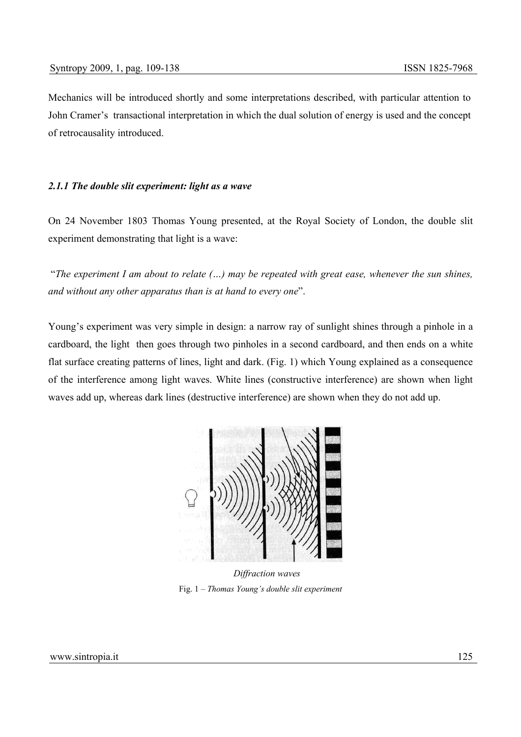Mechanics will be introduced shortly and some interpretations described, with particular attention to John Cramer's transactional interpretation in which the dual solution of energy is used and the concept of retrocausality introduced.

#### *2.1.1 The double slit experiment: light as a wave*

On 24 November 1803 Thomas Young presented, at the Royal Society of London, the double slit experiment demonstrating that light is a wave:

 "*The experiment I am about to relate (…) may be repeated with great ease, whenever the sun shines, and without any other apparatus than is at hand to every one*".

Young's experiment was very simple in design: a narrow ray of sunlight shines through a pinhole in a cardboard, the light then goes through two pinholes in a second cardboard, and then ends on a white flat surface creating patterns of lines, light and dark. (Fig. 1) which Young explained as a consequence of the interference among light waves. White lines (constructive interference) are shown when light waves add up, whereas dark lines (destructive interference) are shown when they do not add up.



 *Diffraction waves*  Fig. 1 – *Thomas Young's double slit experiment*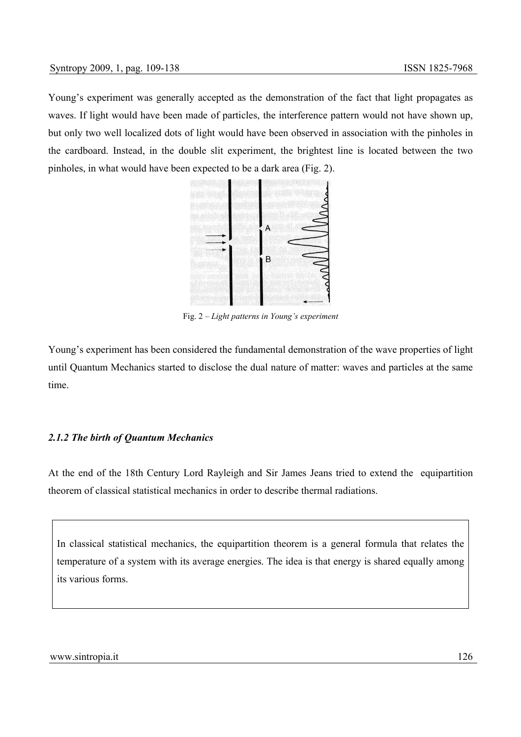Young's experiment was generally accepted as the demonstration of the fact that light propagates as waves. If light would have been made of particles, the interference pattern would not have shown up, but only two well localized dots of light would have been observed in association with the pinholes in the cardboard. Instead, in the double slit experiment, the brightest line is located between the two pinholes, in what would have been expected to be a dark area (Fig. 2).



Fig. 2 – *Light patterns in Young's experiment* 

Young's experiment has been considered the fundamental demonstration of the wave properties of light until Quantum Mechanics started to disclose the dual nature of matter: waves and particles at the same time.

# *2.1.2 The birth of Quantum Mechanics*

At the end of the 18th Century Lord Rayleigh and Sir James Jeans tried to extend the equipartition theorem of classical statistical mechanics in order to describe thermal radiations.

In classical statistical mechanics, the equipartition theorem is a general formula that relates the temperature of a system with its average energies. The idea is that energy is shared equally among its various forms.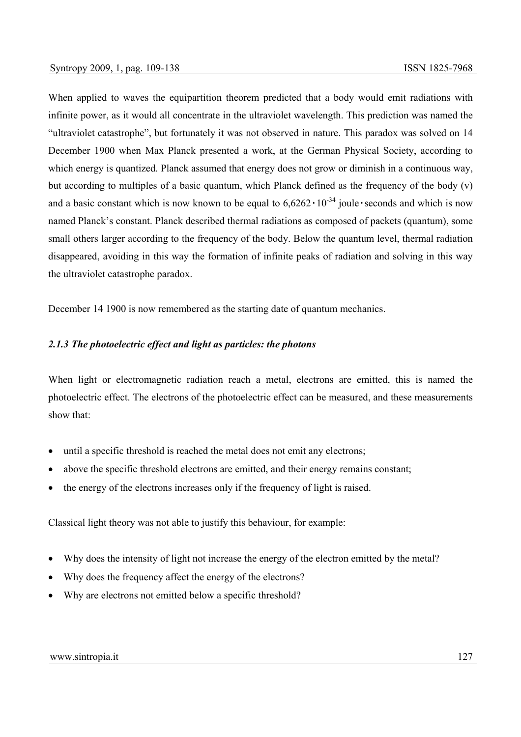When applied to waves the equipartition theorem predicted that a body would emit radiations with infinite power, as it would all concentrate in the ultraviolet wavelength. This prediction was named the "ultraviolet catastrophe", but fortunately it was not observed in nature. This paradox was solved on 14 December 1900 when Max Planck presented a work, at the German Physical Society, according to which energy is quantized. Planck assumed that energy does not grow or diminish in a continuous way, but according to multiples of a basic quantum, which Planck defined as the frequency of the body (v) and a basic constant which is now known to be equal to  $6.6262 \cdot 10^{-34}$  joule seconds and which is now named Planck's constant. Planck described thermal radiations as composed of packets (quantum), some small others larger according to the frequency of the body. Below the quantum level, thermal radiation disappeared, avoiding in this way the formation of infinite peaks of radiation and solving in this way the ultraviolet catastrophe paradox.

December 14 1900 is now remembered as the starting date of quantum mechanics.

# *2.1.3 The photoelectric effect and light as particles: the photons*

When light or electromagnetic radiation reach a metal, electrons are emitted, this is named the photoelectric effect. The electrons of the photoelectric effect can be measured, and these measurements show that:

- until a specific threshold is reached the metal does not emit any electrons;
- above the specific threshold electrons are emitted, and their energy remains constant;
- the energy of the electrons increases only if the frequency of light is raised.

Classical light theory was not able to justify this behaviour, for example:

- Why does the intensity of light not increase the energy of the electron emitted by the metal?
- Why does the frequency affect the energy of the electrons?
- Why are electrons not emitted below a specific threshold?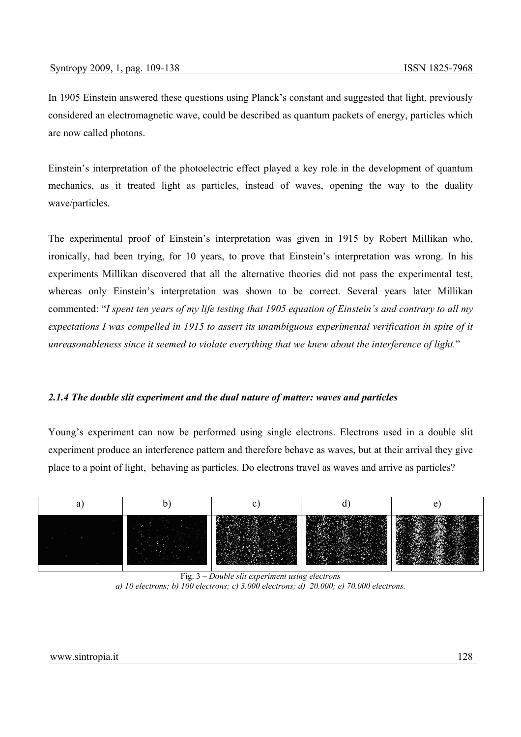In 1905 Einstein answered these questions using Planck's constant and suggested that light, previously considered an electromagnetic wave, could be described as quantum packets of energy, particles which are now called photons.

Einstein's interpretation of the photoelectric effect played a key role in the development of quantum mechanics, as it treated light as particles, instead of waves, opening the way to the duality wave/particles.

The experimental proof of Einstein's interpretation was given in 1915 by Robert Millikan who, ironically, had been trying, for 10 years, to prove that Einstein's interpretation was wrong. In his experiments Millikan discovered that all the alternative theories did not pass the experimental test, whereas only Einstein's interpretation was shown to be correct. Several years later Millikan commented: "*I spent ten years of my life testing that 1905 equation of Einstein's and contrary to all my expectations I was compelled in 1915 to assert its unambiguous experimental verification in spite of it unreasonableness since it seemed to violate everything that we knew about the interference of light.*"

# *2.1.4 The double slit experiment and the dual nature of matter: waves and particles*

Young's experiment can now be performed using single electrons. Electrons used in a double slit experiment produce an interference pattern and therefore behave as waves, but at their arrival they give place to a point of light, behaving as particles. Do electrons travel as waves and arrive as particles?



Fig. 3 – *Double slit experiment using electrons a) 10 electrons; b) 100 electrons; c) 3.000 electrons; d) 20.000; e) 70.000 electrons.*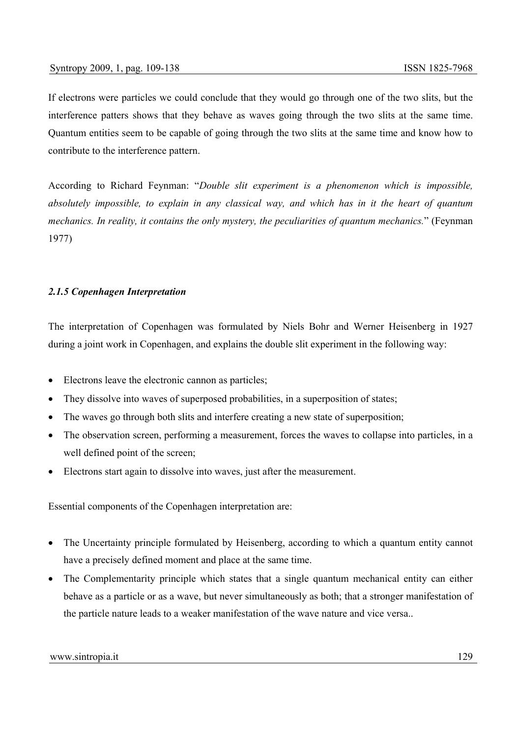If electrons were particles we could conclude that they would go through one of the two slits, but the interference patters shows that they behave as waves going through the two slits at the same time. Quantum entities seem to be capable of going through the two slits at the same time and know how to contribute to the interference pattern.

According to Richard Feynman: "*Double slit experiment is a phenomenon which is impossible, absolutely impossible, to explain in any classical way, and which has in it the heart of quantum mechanics. In reality, it contains the only mystery, the peculiarities of quantum mechanics.*" (Feynman 1977)

# *2.1.5 Copenhagen Interpretation*

The interpretation of Copenhagen was formulated by Niels Bohr and Werner Heisenberg in 1927 during a joint work in Copenhagen, and explains the double slit experiment in the following way:

- Electrons leave the electronic cannon as particles;
- They dissolve into waves of superposed probabilities, in a superposition of states;
- The waves go through both slits and interfere creating a new state of superposition;
- The observation screen, performing a measurement, forces the waves to collapse into particles, in a well defined point of the screen;
- Electrons start again to dissolve into waves, just after the measurement.

Essential components of the Copenhagen interpretation are:

- The Uncertainty principle formulated by Heisenberg, according to which a quantum entity cannot have a precisely defined moment and place at the same time.
- The Complementarity principle which states that a single quantum mechanical entity can either behave as a particle or as a wave, but never simultaneously as both; that a stronger manifestation of the particle nature leads to a weaker manifestation of the wave nature and vice versa..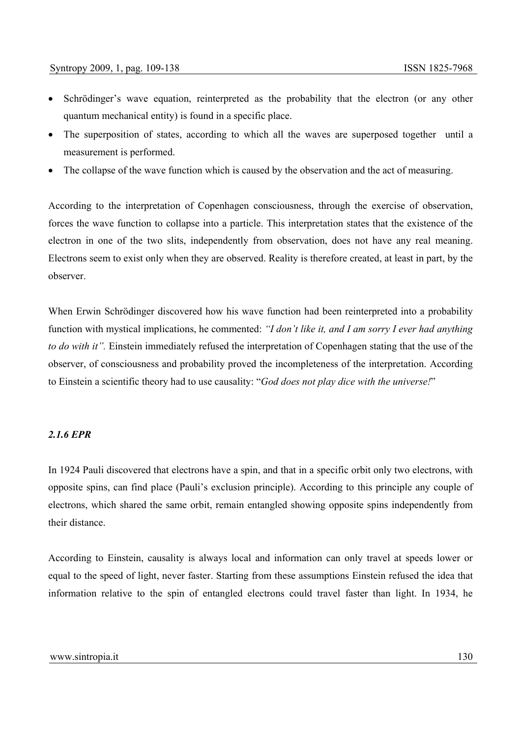- Schrödinger's wave equation, reinterpreted as the probability that the electron (or any other quantum mechanical entity) is found in a specific place.
- The superposition of states, according to which all the waves are superposed together until a measurement is performed.
- The collapse of the wave function which is caused by the observation and the act of measuring.

According to the interpretation of Copenhagen consciousness, through the exercise of observation, forces the wave function to collapse into a particle. This interpretation states that the existence of the electron in one of the two slits, independently from observation, does not have any real meaning. Electrons seem to exist only when they are observed. Reality is therefore created, at least in part, by the observer.

When Erwin Schrödinger discovered how his wave function had been reinterpreted into a probability function with mystical implications, he commented: *"I don't like it, and I am sorry I ever had anything to do with it".* Einstein immediately refused the interpretation of Copenhagen stating that the use of the observer, of consciousness and probability proved the incompleteness of the interpretation. According to Einstein a scientific theory had to use causality: "*God does not play dice with the universe!*"

## *2.1.6 EPR*

In 1924 Pauli discovered that electrons have a spin, and that in a specific orbit only two electrons, with opposite spins, can find place (Pauli's exclusion principle). According to this principle any couple of electrons, which shared the same orbit, remain entangled showing opposite spins independently from their distance.

According to Einstein, causality is always local and information can only travel at speeds lower or equal to the speed of light, never faster. Starting from these assumptions Einstein refused the idea that information relative to the spin of entangled electrons could travel faster than light. In 1934, he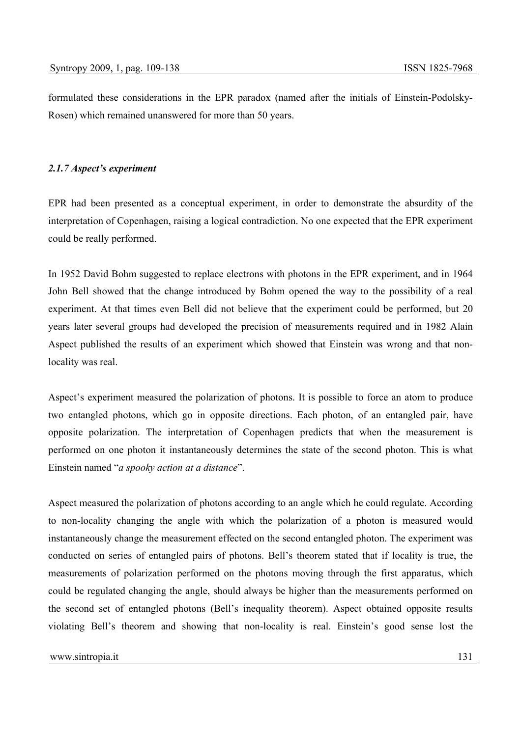formulated these considerations in the EPR paradox (named after the initials of Einstein-Podolsky-Rosen) which remained unanswered for more than 50 years.

## *2.1.7 Aspect's experiment*

EPR had been presented as a conceptual experiment, in order to demonstrate the absurdity of the interpretation of Copenhagen, raising a logical contradiction. No one expected that the EPR experiment could be really performed.

In 1952 David Bohm suggested to replace electrons with photons in the EPR experiment, and in 1964 John Bell showed that the change introduced by Bohm opened the way to the possibility of a real experiment. At that times even Bell did not believe that the experiment could be performed, but 20 years later several groups had developed the precision of measurements required and in 1982 Alain Aspect published the results of an experiment which showed that Einstein was wrong and that nonlocality was real.

Aspect's experiment measured the polarization of photons. It is possible to force an atom to produce two entangled photons, which go in opposite directions. Each photon, of an entangled pair, have opposite polarization. The interpretation of Copenhagen predicts that when the measurement is performed on one photon it instantaneously determines the state of the second photon. This is what Einstein named "*a spooky action at a distance*".

Aspect measured the polarization of photons according to an angle which he could regulate. According to non-locality changing the angle with which the polarization of a photon is measured would instantaneously change the measurement effected on the second entangled photon. The experiment was conducted on series of entangled pairs of photons. Bell's theorem stated that if locality is true, the measurements of polarization performed on the photons moving through the first apparatus, which could be regulated changing the angle, should always be higher than the measurements performed on the second set of entangled photons (Bell's inequality theorem). Aspect obtained opposite results violating Bell's theorem and showing that non-locality is real. Einstein's good sense lost the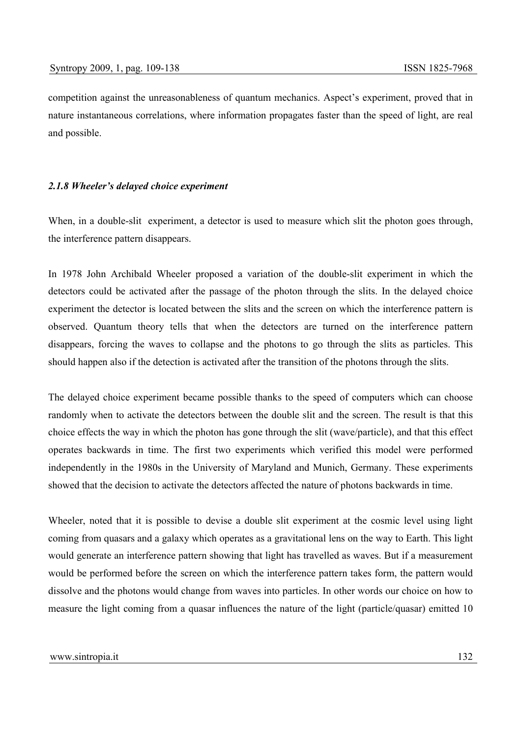competition against the unreasonableness of quantum mechanics. Aspect's experiment, proved that in nature instantaneous correlations, where information propagates faster than the speed of light, are real and possible.

#### *2.1.8 Wheeler's delayed choice experiment*

When, in a double-slit experiment, a detector is used to measure which slit the photon goes through, the interference pattern disappears.

In 1978 John Archibald Wheeler proposed a variation of the double-slit experiment in which the detectors could be activated after the passage of the photon through the slits. In the delayed choice experiment the detector is located between the slits and the screen on which the interference pattern is observed. Quantum theory tells that when the detectors are turned on the interference pattern disappears, forcing the waves to collapse and the photons to go through the slits as particles. This should happen also if the detection is activated after the transition of the photons through the slits.

The delayed choice experiment became possible thanks to the speed of computers which can choose randomly when to activate the detectors between the double slit and the screen. The result is that this choice effects the way in which the photon has gone through the slit (wave/particle), and that this effect operates backwards in time. The first two experiments which verified this model were performed independently in the 1980s in the University of Maryland and Munich, Germany. These experiments showed that the decision to activate the detectors affected the nature of photons backwards in time.

Wheeler, noted that it is possible to devise a double slit experiment at the cosmic level using light coming from quasars and a galaxy which operates as a gravitational lens on the way to Earth. This light would generate an interference pattern showing that light has travelled as waves. But if a measurement would be performed before the screen on which the interference pattern takes form, the pattern would dissolve and the photons would change from waves into particles. In other words our choice on how to measure the light coming from a quasar influences the nature of the light (particle/quasar) emitted 10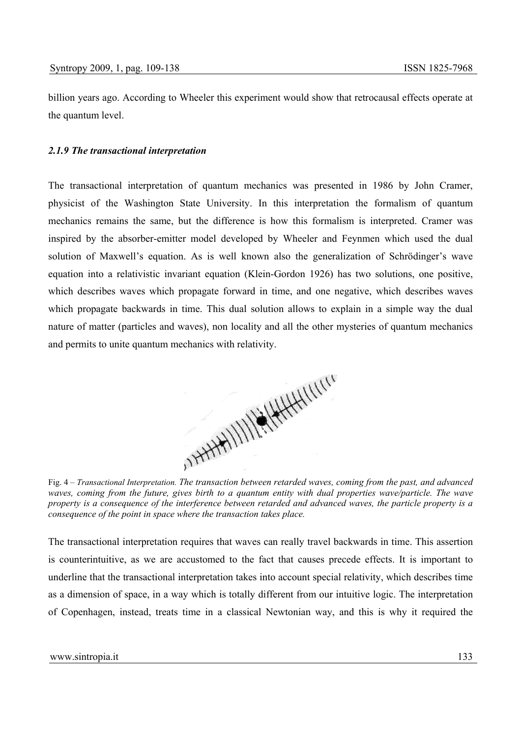billion years ago. According to Wheeler this experiment would show that retrocausal effects operate at the quantum level.

## *2.1.9 The transactional interpretation*

The transactional interpretation of quantum mechanics was presented in 1986 by John Cramer, physicist of the Washington State University. In this interpretation the formalism of quantum mechanics remains the same, but the difference is how this formalism is interpreted. Cramer was inspired by the absorber-emitter model developed by Wheeler and Feynmen which used the dual solution of Maxwell's equation. As is well known also the generalization of Schrödinger's wave equation into a relativistic invariant equation (Klein-Gordon 1926) has two solutions, one positive, which describes waves which propagate forward in time, and one negative, which describes waves which propagate backwards in time. This dual solution allows to explain in a simple way the dual nature of matter (particles and waves), non locality and all the other mysteries of quantum mechanics and permits to unite quantum mechanics with relativity.



*waves, coming from the future, gives birth to a quantum entity with dual properties wave/particle. The wave property is a consequence of the interference between retarded and advanced waves, the particle property is a consequence of the point in space where the transaction takes place.* 

The transactional interpretation requires that waves can really travel backwards in time. This assertion is counterintuitive, as we are accustomed to the fact that causes precede effects. It is important to underline that the transactional interpretation takes into account special relativity, which describes time as a dimension of space, in a way which is totally different from our intuitive logic. The interpretation of Copenhagen, instead, treats time in a classical Newtonian way, and this is why it required the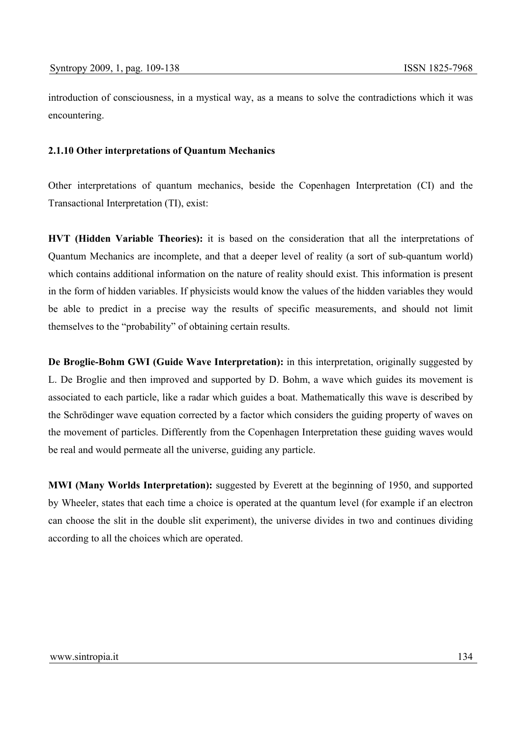introduction of consciousness, in a mystical way, as a means to solve the contradictions which it was encountering.

# **2.1.10 Other interpretations of Quantum Mechanics**

Other interpretations of quantum mechanics, beside the Copenhagen Interpretation (CI) and the Transactional Interpretation (TI), exist:

**HVT (Hidden Variable Theories):** it is based on the consideration that all the interpretations of Quantum Mechanics are incomplete, and that a deeper level of reality (a sort of sub-quantum world) which contains additional information on the nature of reality should exist. This information is present in the form of hidden variables. If physicists would know the values of the hidden variables they would be able to predict in a precise way the results of specific measurements, and should not limit themselves to the "probability" of obtaining certain results.

**De Broglie-Bohm GWI (Guide Wave Interpretation):** in this interpretation, originally suggested by L. De Broglie and then improved and supported by D. Bohm, a wave which guides its movement is associated to each particle, like a radar which guides a boat. Mathematically this wave is described by the Schrödinger wave equation corrected by a factor which considers the guiding property of waves on the movement of particles. Differently from the Copenhagen Interpretation these guiding waves would be real and would permeate all the universe, guiding any particle.

**MWI (Many Worlds Interpretation):** suggested by Everett at the beginning of 1950, and supported by Wheeler, states that each time a choice is operated at the quantum level (for example if an electron can choose the slit in the double slit experiment), the universe divides in two and continues dividing according to all the choices which are operated.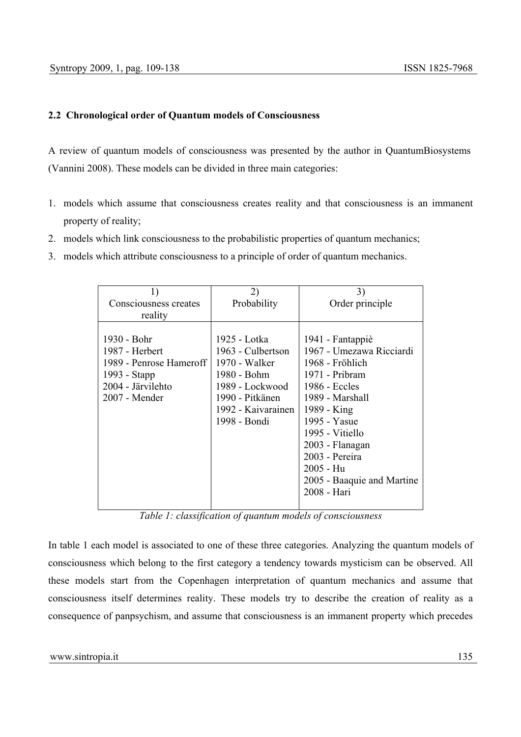# **2.2 Chronological order of Quantum models of Consciousness**

A review of quantum models of consciousness was presented by the author in QuantumBiosystems (Vannini 2008). These models can be divided in three main categories:

- 1. models which assume that consciousness creates reality and that consciousness is an immanent property of reality;
- 2. models which link consciousness to the probabilistic properties of quantum mechanics;
- 3. models which attribute consciousness to a principle of order of quantum mechanics.

| 1)                                                                                                             | 2)                                                                                                                                            | 3)                                                                                                                                                                      |  |
|----------------------------------------------------------------------------------------------------------------|-----------------------------------------------------------------------------------------------------------------------------------------------|-------------------------------------------------------------------------------------------------------------------------------------------------------------------------|--|
| Consciousness creates                                                                                          | Probability                                                                                                                                   | Order principle                                                                                                                                                         |  |
| reality                                                                                                        |                                                                                                                                               |                                                                                                                                                                         |  |
| 1930 - Bohr<br>1987 - Herbert<br>1989 - Penrose Hameroff<br>1993 - Stapp<br>2004 - Järvilehto<br>2007 - Mender | 1925 - Lotka<br>1963 - Culbertson<br>1970 - Walker<br>1980 - Bohm<br>1989 - Lockwood<br>1990 - Pitkänen<br>1992 - Kaivarainen<br>1998 - Bondi | 1941 - Fantappiè<br>1967 - Umezawa Ricciardi<br>1968 - Fröhlich<br>1971 - Pribram<br>1986 - Eccles<br>1989 - Marshall<br>1989 - King<br>1995 - Yasue<br>1995 - Vitiello |  |
|                                                                                                                |                                                                                                                                               | 2003 - Flanagan<br>2003 - Pereira                                                                                                                                       |  |
|                                                                                                                |                                                                                                                                               | 2005 - Hu                                                                                                                                                               |  |
|                                                                                                                |                                                                                                                                               | 2005 - Baaquie and Martine                                                                                                                                              |  |
|                                                                                                                |                                                                                                                                               | 2008 - Hari                                                                                                                                                             |  |
|                                                                                                                |                                                                                                                                               |                                                                                                                                                                         |  |

*Table 1: classification of quantum models of consciousness* 

In table 1 each model is associated to one of these three categories. Analyzing the quantum models of consciousness which belong to the first category a tendency towards mysticism can be observed. All these models start from the Copenhagen interpretation of quantum mechanics and assume that consciousness itself determines reality. These models try to describe the creation of reality as a consequence of panpsychism, and assume that consciousness is an immanent property which precedes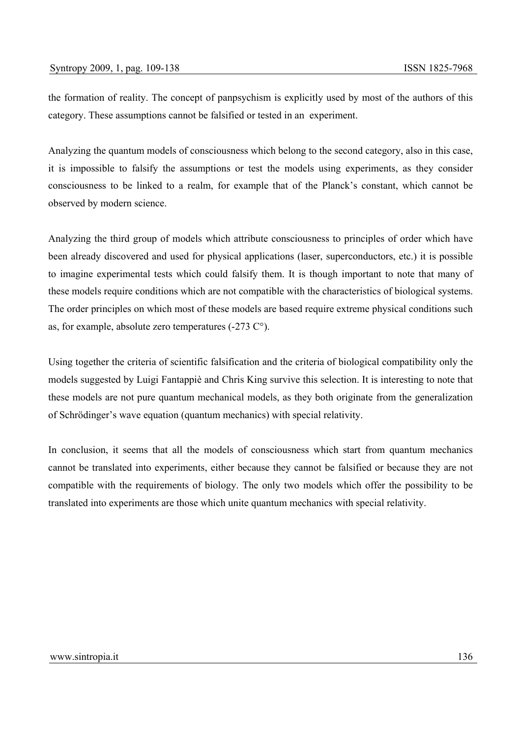the formation of reality. The concept of panpsychism is explicitly used by most of the authors of this category. These assumptions cannot be falsified or tested in an experiment.

Analyzing the quantum models of consciousness which belong to the second category, also in this case, it is impossible to falsify the assumptions or test the models using experiments, as they consider consciousness to be linked to a realm, for example that of the Planck's constant, which cannot be observed by modern science.

Analyzing the third group of models which attribute consciousness to principles of order which have been already discovered and used for physical applications (laser, superconductors, etc.) it is possible to imagine experimental tests which could falsify them. It is though important to note that many of these models require conditions which are not compatible with the characteristics of biological systems. The order principles on which most of these models are based require extreme physical conditions such as, for example, absolute zero temperatures (-273 C°).

Using together the criteria of scientific falsification and the criteria of biological compatibility only the models suggested by Luigi Fantappiè and Chris King survive this selection. It is interesting to note that these models are not pure quantum mechanical models, as they both originate from the generalization of Schrödinger's wave equation (quantum mechanics) with special relativity.

In conclusion, it seems that all the models of consciousness which start from quantum mechanics cannot be translated into experiments, either because they cannot be falsified or because they are not compatible with the requirements of biology. The only two models which offer the possibility to be translated into experiments are those which unite quantum mechanics with special relativity.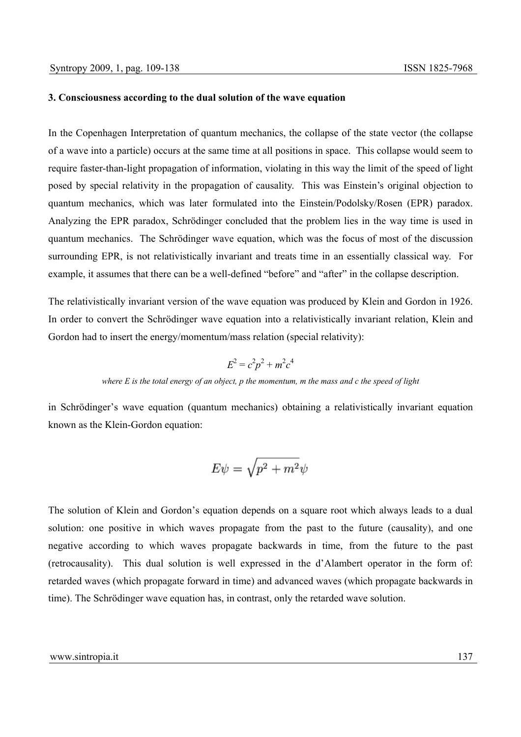#### **3. Consciousness according to the dual solution of the wave equation**

In the Copenhagen Interpretation of quantum mechanics, the collapse of the state vector (the collapse of a wave into a particle) occurs at the same time at all positions in space. This collapse would seem to require faster-than-light propagation of information, violating in this way the limit of the speed of light posed by special relativity in the propagation of causality. This was Einstein's original objection to quantum mechanics, which was later formulated into the Einstein/Podolsky/Rosen (EPR) paradox. Analyzing the EPR paradox, Schrödinger concluded that the problem lies in the way time is used in quantum mechanics. The Schrödinger wave equation, which was the focus of most of the discussion surrounding EPR, is not relativistically invariant and treats time in an essentially classical way. For example, it assumes that there can be a well-defined "before" and "after" in the collapse description.

The relativistically invariant version of the wave equation was produced by Klein and Gordon in 1926. In order to convert the Schrödinger wave equation into a relativistically invariant relation, Klein and Gordon had to insert the energy/momentum/mass relation (special relativity):

$$
E^2 = c^2 p^2 + m^2 c^4
$$

*where E is the total energy of an object, p the momentum, m the mass and c the speed of light* 

in Schrödinger's wave equation (quantum mechanics) obtaining a relativistically invariant equation known as the Klein-Gordon equation:

$$
E\psi=\sqrt{p^2+m^2}\psi
$$

The solution of Klein and Gordon's equation depends on a square root which always leads to a dual solution: one positive in which waves propagate from the past to the future (causality), and one negative according to which waves propagate backwards in time, from the future to the past (retrocausality). This dual solution is well expressed in the d'Alambert operator in the form of: retarded waves (which propagate forward in time) and advanced waves (which propagate backwards in time). The Schrödinger wave equation has, in contrast, only the retarded wave solution.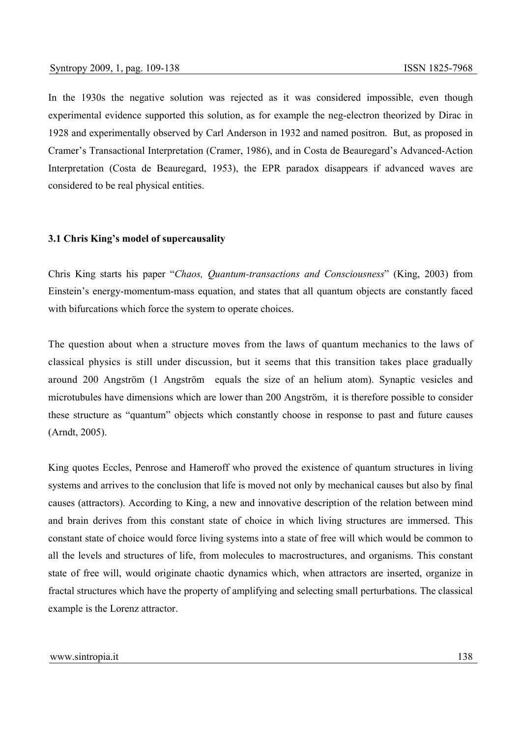In the 1930s the negative solution was rejected as it was considered impossible, even though experimental evidence supported this solution, as for example the neg-electron theorized by Dirac in 1928 and experimentally observed by Carl Anderson in 1932 and named positron. But, as proposed in Cramer's Transactional Interpretation (Cramer, 1986), and in Costa de Beauregard's Advanced-Action Interpretation (Costa de Beauregard, 1953), the EPR paradox disappears if advanced waves are considered to be real physical entities.

## **3.1 Chris King's model of supercausality**

Chris King starts his paper "*Chaos, Quantum-transactions and Consciousness*" (King, 2003) from Einstein's energy-momentum-mass equation, and states that all quantum objects are constantly faced with bifurcations which force the system to operate choices.

The question about when a structure moves from the laws of quantum mechanics to the laws of classical physics is still under discussion, but it seems that this transition takes place gradually around 200 Angström (1 Angström equals the size of an helium atom). Synaptic vesicles and microtubules have dimensions which are lower than 200 Angström, it is therefore possible to consider these structure as "quantum" objects which constantly choose in response to past and future causes (Arndt, 2005).

King quotes Eccles, Penrose and Hameroff who proved the existence of quantum structures in living systems and arrives to the conclusion that life is moved not only by mechanical causes but also by final causes (attractors). According to King, a new and innovative description of the relation between mind and brain derives from this constant state of choice in which living structures are immersed. This constant state of choice would force living systems into a state of free will which would be common to all the levels and structures of life, from molecules to macrostructures, and organisms. This constant state of free will, would originate chaotic dynamics which, when attractors are inserted, organize in fractal structures which have the property of amplifying and selecting small perturbations. The classical example is the Lorenz attractor.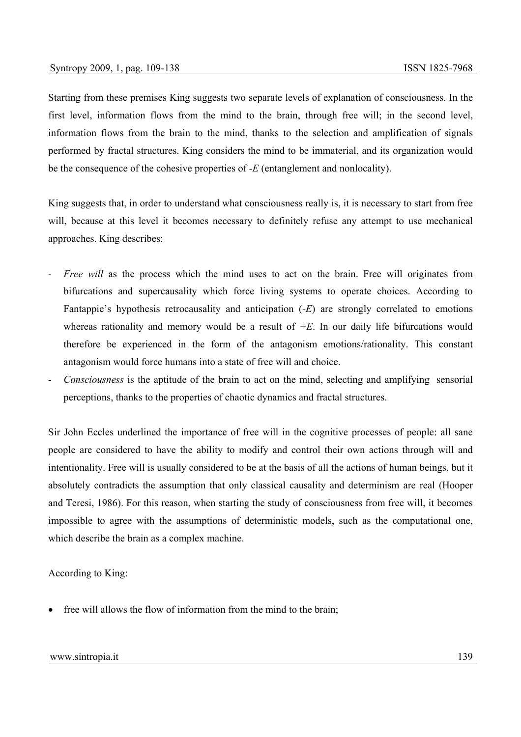Starting from these premises King suggests two separate levels of explanation of consciousness. In the first level, information flows from the mind to the brain, through free will; in the second level, information flows from the brain to the mind, thanks to the selection and amplification of signals performed by fractal structures. King considers the mind to be immaterial, and its organization would be the consequence of the cohesive properties of *-E* (entanglement and nonlocality).

King suggests that, in order to understand what consciousness really is, it is necessary to start from free will, because at this level it becomes necessary to definitely refuse any attempt to use mechanical approaches. King describes:

- *Free will* as the process which the mind uses to act on the brain. Free will originates from bifurcations and supercausality which force living systems to operate choices. According to Fantappie's hypothesis retrocausality and anticipation (*-E*) are strongly correlated to emotions whereas rationality and memory would be a result of *+E*. In our daily life bifurcations would therefore be experienced in the form of the antagonism emotions/rationality. This constant antagonism would force humans into a state of free will and choice.
- *Consciousness* is the aptitude of the brain to act on the mind, selecting and amplifying sensorial perceptions, thanks to the properties of chaotic dynamics and fractal structures.

Sir John Eccles underlined the importance of free will in the cognitive processes of people: all sane people are considered to have the ability to modify and control their own actions through will and intentionality. Free will is usually considered to be at the basis of all the actions of human beings, but it absolutely contradicts the assumption that only classical causality and determinism are real (Hooper and Teresi, 1986). For this reason, when starting the study of consciousness from free will, it becomes impossible to agree with the assumptions of deterministic models, such as the computational one, which describe the brain as a complex machine.

According to King:

free will allows the flow of information from the mind to the brain;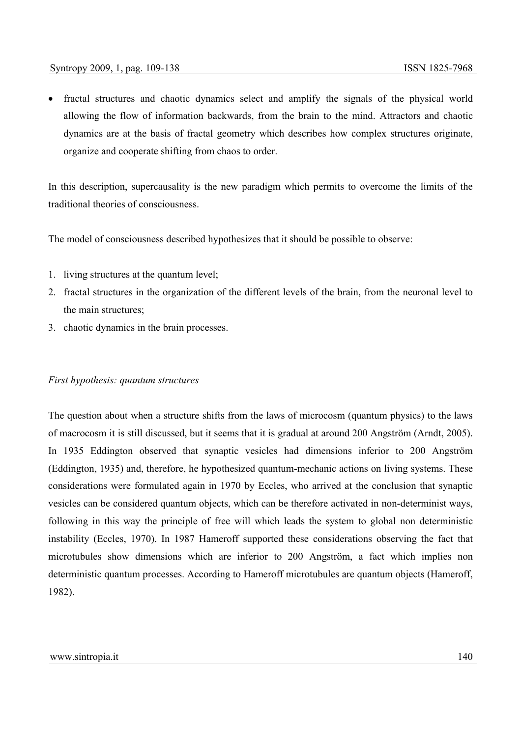• fractal structures and chaotic dynamics select and amplify the signals of the physical world allowing the flow of information backwards, from the brain to the mind. Attractors and chaotic dynamics are at the basis of fractal geometry which describes how complex structures originate, organize and cooperate shifting from chaos to order.

In this description, supercausality is the new paradigm which permits to overcome the limits of the traditional theories of consciousness.

The model of consciousness described hypothesizes that it should be possible to observe:

- 1. living structures at the quantum level;
- 2. fractal structures in the organization of the different levels of the brain, from the neuronal level to the main structures;
- 3. chaotic dynamics in the brain processes.

#### *First hypothesis: quantum structures*

The question about when a structure shifts from the laws of microcosm (quantum physics) to the laws of macrocosm it is still discussed, but it seems that it is gradual at around 200 Angström (Arndt, 2005). In 1935 Eddington observed that synaptic vesicles had dimensions inferior to 200 Angström (Eddington, 1935) and, therefore, he hypothesized quantum-mechanic actions on living systems. These considerations were formulated again in 1970 by Eccles, who arrived at the conclusion that synaptic vesicles can be considered quantum objects, which can be therefore activated in non-determinist ways, following in this way the principle of free will which leads the system to global non deterministic instability (Eccles, 1970). In 1987 Hameroff supported these considerations observing the fact that microtubules show dimensions which are inferior to 200 Angström, a fact which implies non deterministic quantum processes. According to Hameroff microtubules are quantum objects (Hameroff, 1982).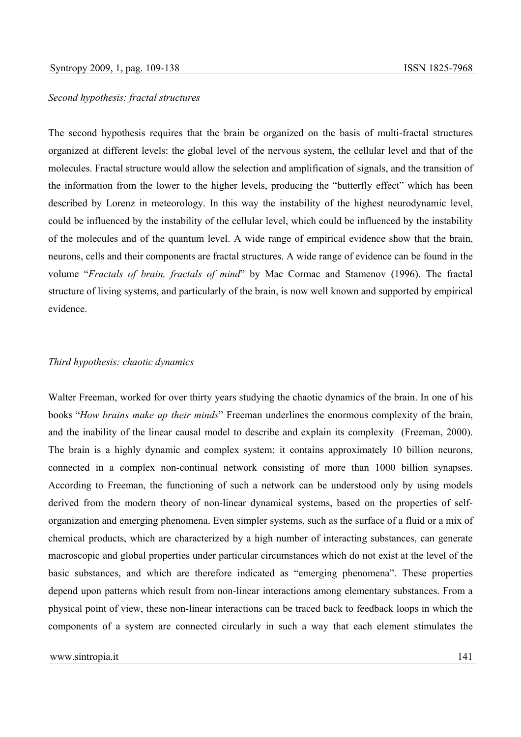## *Second hypothesis: fractal structures*

The second hypothesis requires that the brain be organized on the basis of multi-fractal structures organized at different levels: the global level of the nervous system, the cellular level and that of the molecules. Fractal structure would allow the selection and amplification of signals, and the transition of the information from the lower to the higher levels, producing the "butterfly effect" which has been described by Lorenz in meteorology. In this way the instability of the highest neurodynamic level, could be influenced by the instability of the cellular level, which could be influenced by the instability of the molecules and of the quantum level. A wide range of empirical evidence show that the brain, neurons, cells and their components are fractal structures. A wide range of evidence can be found in the volume "*Fractals of brain, fractals of mind*" by Mac Cormac and Stamenov (1996). The fractal structure of living systems, and particularly of the brain, is now well known and supported by empirical evidence.

## *Third hypothesis: chaotic dynamics*

Walter Freeman, worked for over thirty years studying the chaotic dynamics of the brain. In one of his books "*How brains make up their minds*" Freeman underlines the enormous complexity of the brain, and the inability of the linear causal model to describe and explain its complexity (Freeman, 2000). The brain is a highly dynamic and complex system: it contains approximately 10 billion neurons, connected in a complex non-continual network consisting of more than 1000 billion synapses. According to Freeman, the functioning of such a network can be understood only by using models derived from the modern theory of non-linear dynamical systems, based on the properties of selforganization and emerging phenomena. Even simpler systems, such as the surface of a fluid or a mix of chemical products, which are characterized by a high number of interacting substances, can generate macroscopic and global properties under particular circumstances which do not exist at the level of the basic substances, and which are therefore indicated as "emerging phenomena". These properties depend upon patterns which result from non-linear interactions among elementary substances. From a physical point of view, these non-linear interactions can be traced back to feedback loops in which the components of a system are connected circularly in such a way that each element stimulates the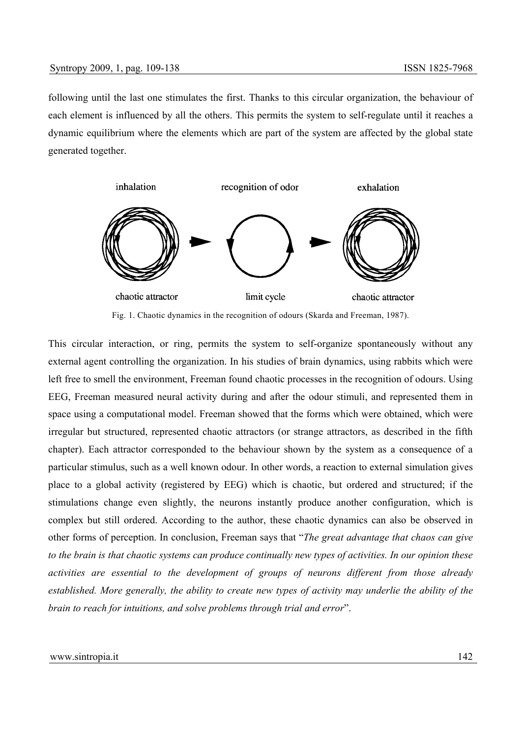following until the last one stimulates the first. Thanks to this circular organization, the behaviour of each element is influenced by all the others. This permits the system to self-regulate until it reaches a dynamic equilibrium where the elements which are part of the system are affected by the global state generated together.



Fig. 1. Chaotic dynamics in the recognition of odours (Skarda and Freeman, 1987).

This circular interaction, or ring, permits the system to self-organize spontaneously without any external agent controlling the organization. In his studies of brain dynamics, using rabbits which were left free to smell the environment, Freeman found chaotic processes in the recognition of odours. Using EEG, Freeman measured neural activity during and after the odour stimuli, and represented them in space using a computational model. Freeman showed that the forms which were obtained, which were irregular but structured, represented chaotic attractors (or strange attractors, as described in the fifth chapter). Each attractor corresponded to the behaviour shown by the system as a consequence of a particular stimulus, such as a well known odour. In other words, a reaction to external simulation gives place to a global activity (registered by EEG) which is chaotic, but ordered and structured; if the stimulations change even slightly, the neurons instantly produce another configuration, which is complex but still ordered. According to the author, these chaotic dynamics can also be observed in other forms of perception. In conclusion, Freeman says that "*The great advantage that chaos can give to the brain is that chaotic systems can produce continually new types of activities. In our opinion these activities are essential to the development of groups of neurons different from those already established. More generally, the ability to create new types of activity may underlie the ability of the brain to reach for intuitions, and solve problems through trial and error*".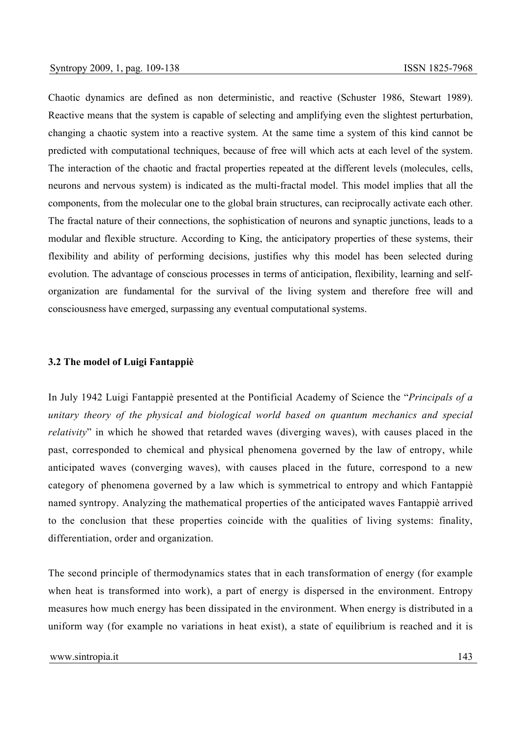Chaotic dynamics are defined as non deterministic, and reactive (Schuster 1986, Stewart 1989). Reactive means that the system is capable of selecting and amplifying even the slightest perturbation, changing a chaotic system into a reactive system. At the same time a system of this kind cannot be predicted with computational techniques, because of free will which acts at each level of the system. The interaction of the chaotic and fractal properties repeated at the different levels (molecules, cells, neurons and nervous system) is indicated as the multi-fractal model. This model implies that all the components, from the molecular one to the global brain structures, can reciprocally activate each other. The fractal nature of their connections, the sophistication of neurons and synaptic junctions, leads to a modular and flexible structure. According to King, the anticipatory properties of these systems, their flexibility and ability of performing decisions, justifies why this model has been selected during evolution. The advantage of conscious processes in terms of anticipation, flexibility, learning and selforganization are fundamental for the survival of the living system and therefore free will and consciousness have emerged, surpassing any eventual computational systems.

## **3.2 The model of Luigi Fantappiè**

In July 1942 Luigi Fantappiè presented at the Pontificial Academy of Science the "*Principals of a unitary theory of the physical and biological world based on quantum mechanics and special relativity*" in which he showed that retarded waves (diverging waves), with causes placed in the past, corresponded to chemical and physical phenomena governed by the law of entropy, while anticipated waves (converging waves), with causes placed in the future, correspond to a new category of phenomena governed by a law which is symmetrical to entropy and which Fantappiè named syntropy. Analyzing the mathematical properties of the anticipated waves Fantappiè arrived to the conclusion that these properties coincide with the qualities of living systems: finality, differentiation, order and organization.

The second principle of thermodynamics states that in each transformation of energy (for example when heat is transformed into work), a part of energy is dispersed in the environment. Entropy measures how much energy has been dissipated in the environment. When energy is distributed in a uniform way (for example no variations in heat exist), a state of equilibrium is reached and it is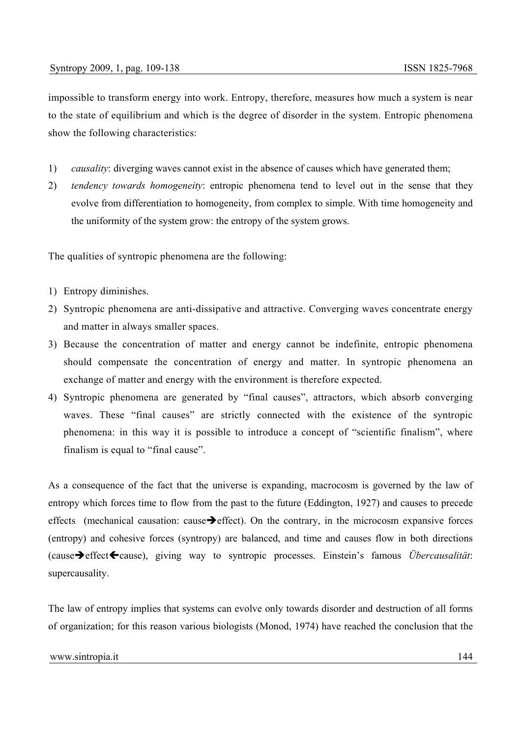impossible to transform energy into work. Entropy, therefore, measures how much a system is near to the state of equilibrium and which is the degree of disorder in the system. Entropic phenomena show the following characteristics:

- 1) *causality*: diverging waves cannot exist in the absence of causes which have generated them;
- 2) *tendency towards homogeneity*: entropic phenomena tend to level out in the sense that they evolve from differentiation to homogeneity, from complex to simple. With time homogeneity and the uniformity of the system grow: the entropy of the system grows.

The qualities of syntropic phenomena are the following:

- 1) Entropy diminishes.
- 2) Syntropic phenomena are anti-dissipative and attractive. Converging waves concentrate energy and matter in always smaller spaces.
- 3) Because the concentration of matter and energy cannot be indefinite, entropic phenomena should compensate the concentration of energy and matter. In syntropic phenomena an exchange of matter and energy with the environment is therefore expected.
- 4) Syntropic phenomena are generated by "final causes", attractors, which absorb converging waves. These "final causes" are strictly connected with the existence of the syntropic phenomena: in this way it is possible to introduce a concept of "scientific finalism", where finalism is equal to "final cause".

As a consequence of the fact that the universe is expanding, macrocosm is governed by the law of entropy which forces time to flow from the past to the future (Eddington, 1927) and causes to precede effects (mechanical causation: cause  $\rightarrow$  effect). On the contrary, in the microcosm expansive forces (entropy) and cohesive forces (syntropy) are balanced, and time and causes flow in both directions (cause**→** effect ← cause), giving way to syntropic processes. Einstein's famous *Übercausalität*: supercausality.

The law of entropy implies that systems can evolve only towards disorder and destruction of all forms of organization; for this reason various biologists (Monod, 1974) have reached the conclusion that the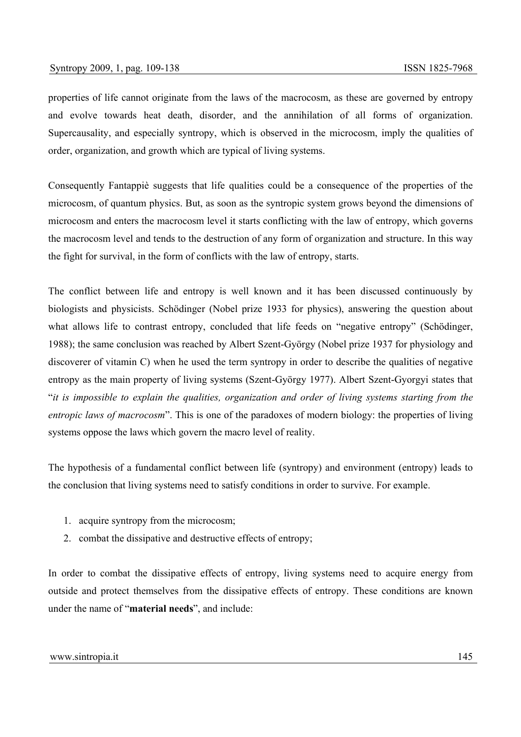properties of life cannot originate from the laws of the macrocosm, as these are governed by entropy and evolve towards heat death, disorder, and the annihilation of all forms of organization. Supercausality, and especially syntropy, which is observed in the microcosm, imply the qualities of order, organization, and growth which are typical of living systems.

Consequently Fantappiè suggests that life qualities could be a consequence of the properties of the microcosm, of quantum physics. But, as soon as the syntropic system grows beyond the dimensions of microcosm and enters the macrocosm level it starts conflicting with the law of entropy, which governs the macrocosm level and tends to the destruction of any form of organization and structure. In this way the fight for survival, in the form of conflicts with the law of entropy, starts.

The conflict between life and entropy is well known and it has been discussed continuously by biologists and physicists. Schödinger (Nobel prize 1933 for physics), answering the question about what allows life to contrast entropy, concluded that life feeds on "negative entropy" (Schödinger, 1988); the same conclusion was reached by Albert Szent-György (Nobel prize 1937 for physiology and discoverer of vitamin C) when he used the term syntropy in order to describe the qualities of negative entropy as the main property of living systems (Szent-György 1977). Albert Szent-Gyorgyi states that "*it is impossible to explain the qualities, organization and order of living systems starting from the entropic laws of macrocosm*". This is one of the paradoxes of modern biology: the properties of living systems oppose the laws which govern the macro level of reality.

The hypothesis of a fundamental conflict between life (syntropy) and environment (entropy) leads to the conclusion that living systems need to satisfy conditions in order to survive. For example.

- 1. acquire syntropy from the microcosm;
- 2. combat the dissipative and destructive effects of entropy;

In order to combat the dissipative effects of entropy, living systems need to acquire energy from outside and protect themselves from the dissipative effects of entropy. These conditions are known under the name of "**material needs**", and include: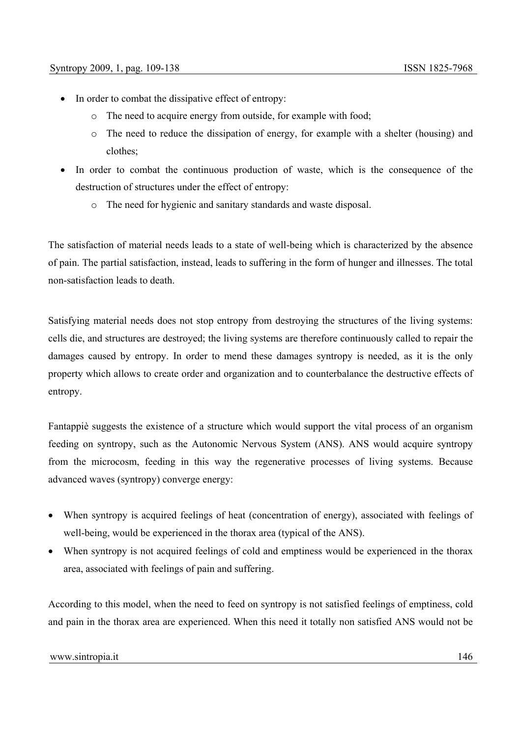- In order to combat the dissipative effect of entropy:
	- o The need to acquire energy from outside, for example with food;
	- o The need to reduce the dissipation of energy, for example with a shelter (housing) and clothes;
- In order to combat the continuous production of waste, which is the consequence of the destruction of structures under the effect of entropy:
	- o The need for hygienic and sanitary standards and waste disposal.

The satisfaction of material needs leads to a state of well-being which is characterized by the absence of pain. The partial satisfaction, instead, leads to suffering in the form of hunger and illnesses. The total non-satisfaction leads to death.

Satisfying material needs does not stop entropy from destroying the structures of the living systems: cells die, and structures are destroyed; the living systems are therefore continuously called to repair the damages caused by entropy. In order to mend these damages syntropy is needed, as it is the only property which allows to create order and organization and to counterbalance the destructive effects of entropy.

Fantappiè suggests the existence of a structure which would support the vital process of an organism feeding on syntropy, such as the Autonomic Nervous System (ANS). ANS would acquire syntropy from the microcosm, feeding in this way the regenerative processes of living systems. Because advanced waves (syntropy) converge energy:

- When syntropy is acquired feelings of heat (concentration of energy), associated with feelings of well-being, would be experienced in the thorax area (typical of the ANS).
- When syntropy is not acquired feelings of cold and emptiness would be experienced in the thorax area, associated with feelings of pain and suffering.

According to this model, when the need to feed on syntropy is not satisfied feelings of emptiness, cold and pain in the thorax area are experienced. When this need it totally non satisfied ANS would not be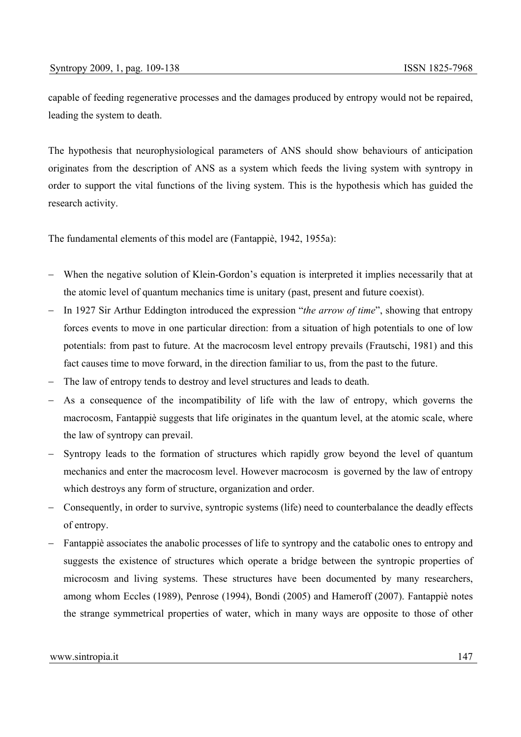capable of feeding regenerative processes and the damages produced by entropy would not be repaired, leading the system to death.

The hypothesis that neurophysiological parameters of ANS should show behaviours of anticipation originates from the description of ANS as a system which feeds the living system with syntropy in order to support the vital functions of the living system. This is the hypothesis which has guided the research activity.

The fundamental elements of this model are (Fantappiè, 1942, 1955a):

- − When the negative solution of Klein-Gordon's equation is interpreted it implies necessarily that at the atomic level of quantum mechanics time is unitary (past, present and future coexist).
- − In 1927 Sir Arthur Eddington introduced the expression "*the arrow of time*", showing that entropy forces events to move in one particular direction: from a situation of high potentials to one of low potentials: from past to future. At the macrocosm level entropy prevails (Frautschi, 1981) and this fact causes time to move forward, in the direction familiar to us, from the past to the future.
- The law of entropy tends to destroy and level structures and leads to death.
- As a consequence of the incompatibility of life with the law of entropy, which governs the macrocosm, Fantappiè suggests that life originates in the quantum level, at the atomic scale, where the law of syntropy can prevail.
- Syntropy leads to the formation of structures which rapidly grow beyond the level of quantum mechanics and enter the macrocosm level. However macrocosm is governed by the law of entropy which destroys any form of structure, organization and order.
- − Consequently, in order to survive, syntropic systems (life) need to counterbalance the deadly effects of entropy.
- − Fantappiè associates the anabolic processes of life to syntropy and the catabolic ones to entropy and suggests the existence of structures which operate a bridge between the syntropic properties of microcosm and living systems. These structures have been documented by many researchers, among whom Eccles (1989), Penrose (1994), Bondi (2005) and Hameroff (2007). Fantappiè notes the strange symmetrical properties of water, which in many ways are opposite to those of other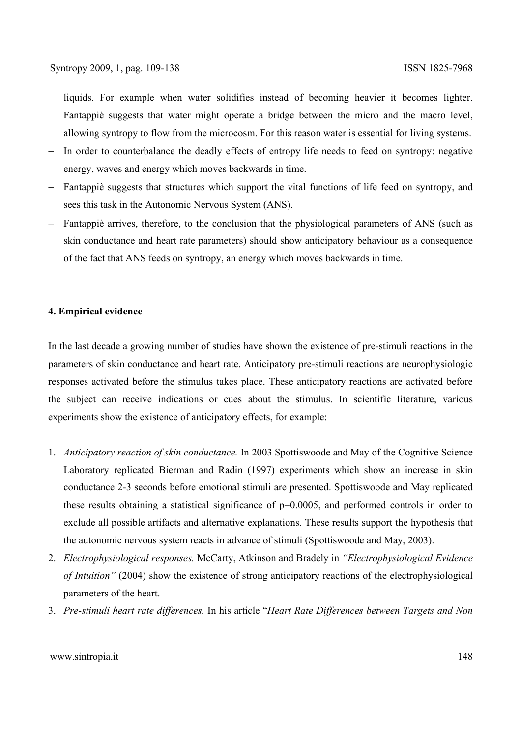liquids. For example when water solidifies instead of becoming heavier it becomes lighter. Fantappiè suggests that water might operate a bridge between the micro and the macro level, allowing syntropy to flow from the microcosm. For this reason water is essential for living systems.

- In order to counterbalance the deadly effects of entropy life needs to feed on syntropy: negative energy, waves and energy which moves backwards in time.
- − Fantappiè suggests that structures which support the vital functions of life feed on syntropy, and sees this task in the Autonomic Nervous System (ANS).
- − Fantappiè arrives, therefore, to the conclusion that the physiological parameters of ANS (such as skin conductance and heart rate parameters) should show anticipatory behaviour as a consequence of the fact that ANS feeds on syntropy, an energy which moves backwards in time.

## **4. Empirical evidence**

In the last decade a growing number of studies have shown the existence of pre-stimuli reactions in the parameters of skin conductance and heart rate. Anticipatory pre-stimuli reactions are neurophysiologic responses activated before the stimulus takes place. These anticipatory reactions are activated before the subject can receive indications or cues about the stimulus. In scientific literature, various experiments show the existence of anticipatory effects, for example:

- 1. *Anticipatory reaction of skin conductance.* In 2003 Spottiswoode and May of the Cognitive Science Laboratory replicated Bierman and Radin (1997) experiments which show an increase in skin conductance 2-3 seconds before emotional stimuli are presented. Spottiswoode and May replicated these results obtaining a statistical significance of p=0.0005, and performed controls in order to exclude all possible artifacts and alternative explanations. These results support the hypothesis that the autonomic nervous system reacts in advance of stimuli (Spottiswoode and May, 2003).
- 2. *Electrophysiological responses.* McCarty, Atkinson and Bradely in *"Electrophysiological Evidence of Intuition"* (2004) show the existence of strong anticipatory reactions of the electrophysiological parameters of the heart.
- 3. *Pre-stimuli heart rate differences.* In his article "*Heart Rate Differences between Targets and Non*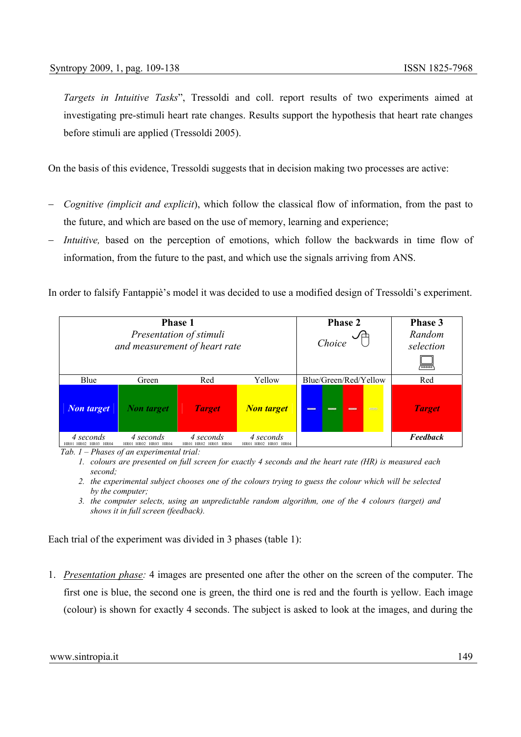*Targets in Intuitive Tasks*", Tressoldi and coll. report results of two experiments aimed at investigating pre-stimuli heart rate changes. Results support the hypothesis that heart rate changes before stimuli are applied (Tressoldi 2005).

On the basis of this evidence, Tressoldi suggests that in decision making two processes are active:

- *Cognitive (implicit and explicit)*, which follow the classical flow of information, from the past to the future, and which are based on the use of memory, learning and experience;
- − *Intuitive,* based on the perception of emotions, which follow the backwards in time flow of information, from the future to the past, and which use the signals arriving from ANS.

In order to falsify Fantappiè's model it was decided to use a modified design of Tressoldi's experiment.

| <b>Phase 1</b><br>Presentation of stimuli<br>and measurement of heart rate |                                  |                                  | <b>Phase 2</b><br>Choice         | Phase 3<br>Random<br>selection<br>ञ्चल     |                 |
|----------------------------------------------------------------------------|----------------------------------|----------------------------------|----------------------------------|--------------------------------------------|-----------------|
| Blue                                                                       | Green                            | Red                              | Yellow                           | Blue/Green/Red/Yellow                      | Red             |
| <b>Non target</b>                                                          | <b>Non</b> target                | <b>Target</b>                    | <b>Non target</b>                | $\equiv$<br>$\frac{1}{2}$<br>-<br>$\equiv$ | <b>Target</b>   |
| 4 seconds<br>HR01 HR02 HR03 HR04                                           | 4 seconds<br>HR01 HR02 HR03 HR04 | 4 seconds<br>HR01 HR02 HR03 HR04 | 4 seconds<br>HR01 HR02 HR03 HR04 |                                            | <b>Feedback</b> |

*Tab. 1 – Phases of an experimental trial:* 

*1. colours are presented on full screen for exactly 4 seconds and the heart rate (HR) is measured each second;* 

*2. the experimental subject chooses one of the colours trying to guess the colour which will be selected by the computer;* 

Each trial of the experiment was divided in 3 phases (table 1):

1. *Presentation phase:* 4 images are presented one after the other on the screen of the computer. The first one is blue, the second one is green, the third one is red and the fourth is yellow. Each image (colour) is shown for exactly 4 seconds. The subject is asked to look at the images, and during the

*<sup>3.</sup> the computer selects, using an unpredictable random algorithm, one of the 4 colours (target) and shows it in full screen (feedback).*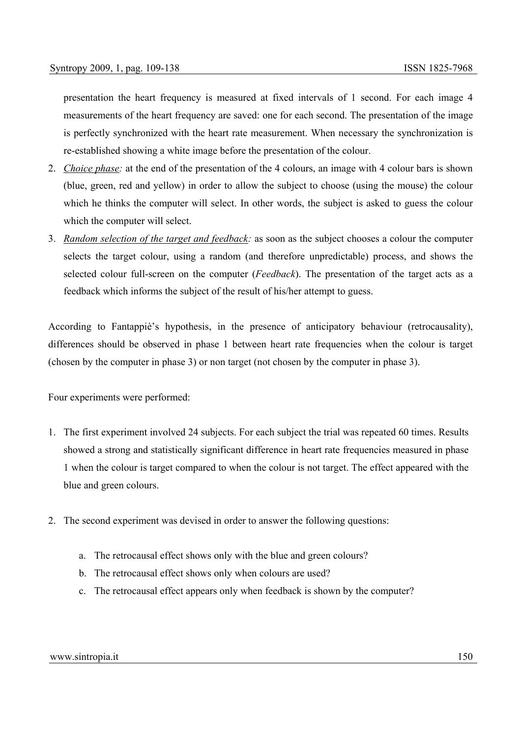presentation the heart frequency is measured at fixed intervals of 1 second. For each image 4 measurements of the heart frequency are saved: one for each second. The presentation of the image is perfectly synchronized with the heart rate measurement. When necessary the synchronization is re-established showing a white image before the presentation of the colour.

- 2. *Choice phase:* at the end of the presentation of the 4 colours, an image with 4 colour bars is shown (blue, green, red and yellow) in order to allow the subject to choose (using the mouse) the colour which he thinks the computer will select. In other words, the subject is asked to guess the colour which the computer will select.
- 3. *Random selection of the target and feedback:* as soon as the subject chooses a colour the computer selects the target colour, using a random (and therefore unpredictable) process, and shows the selected colour full-screen on the computer (*Feedback*). The presentation of the target acts as a feedback which informs the subject of the result of his/her attempt to guess.

According to Fantappiè's hypothesis, in the presence of anticipatory behaviour (retrocausality), differences should be observed in phase 1 between heart rate frequencies when the colour is target (chosen by the computer in phase 3) or non target (not chosen by the computer in phase 3).

Four experiments were performed:

- 1. The first experiment involved 24 subjects. For each subject the trial was repeated 60 times. Results showed a strong and statistically significant difference in heart rate frequencies measured in phase 1 when the colour is target compared to when the colour is not target. The effect appeared with the blue and green colours.
- 2. The second experiment was devised in order to answer the following questions:
	- a. The retrocausal effect shows only with the blue and green colours?
	- b. The retrocausal effect shows only when colours are used?
	- c. The retrocausal effect appears only when feedback is shown by the computer?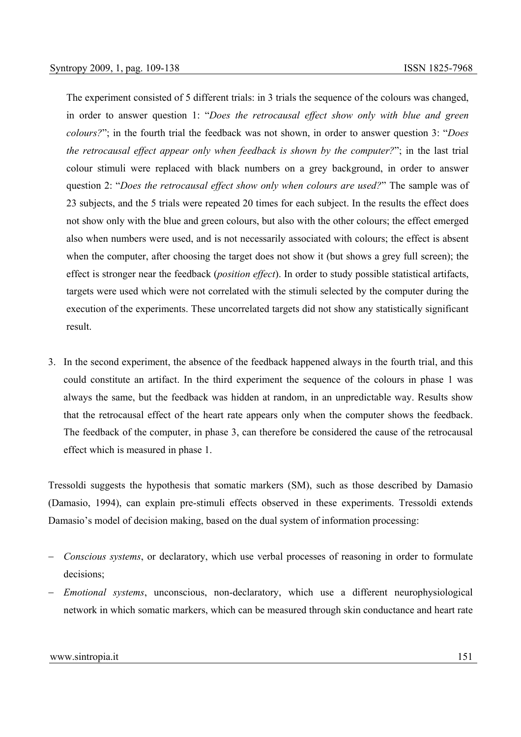The experiment consisted of 5 different trials: in 3 trials the sequence of the colours was changed, in order to answer question 1: "*Does the retrocausal effect show only with blue and green colours?*"; in the fourth trial the feedback was not shown, in order to answer question 3: "*Does the retrocausal effect appear only when feedback is shown by the computer?*"; in the last trial colour stimuli were replaced with black numbers on a grey background, in order to answer question 2: "*Does the retrocausal effect show only when colours are used?*" The sample was of 23 subjects, and the 5 trials were repeated 20 times for each subject. In the results the effect does not show only with the blue and green colours, but also with the other colours; the effect emerged also when numbers were used, and is not necessarily associated with colours; the effect is absent when the computer, after choosing the target does not show it (but shows a grey full screen); the effect is stronger near the feedback (*position effect*). In order to study possible statistical artifacts, targets were used which were not correlated with the stimuli selected by the computer during the execution of the experiments. These uncorrelated targets did not show any statistically significant result.

3. In the second experiment, the absence of the feedback happened always in the fourth trial, and this could constitute an artifact. In the third experiment the sequence of the colours in phase 1 was always the same, but the feedback was hidden at random, in an unpredictable way. Results show that the retrocausal effect of the heart rate appears only when the computer shows the feedback. The feedback of the computer, in phase 3, can therefore be considered the cause of the retrocausal effect which is measured in phase 1.

Tressoldi suggests the hypothesis that somatic markers (SM), such as those described by Damasio (Damasio, 1994), can explain pre-stimuli effects observed in these experiments. Tressoldi extends Damasio's model of decision making, based on the dual system of information processing:

- *Conscious systems*, or declaratory, which use verbal processes of reasoning in order to formulate decisions;
- − *Emotional systems*, unconscious, non-declaratory, which use a different neurophysiological network in which somatic markers, which can be measured through skin conductance and heart rate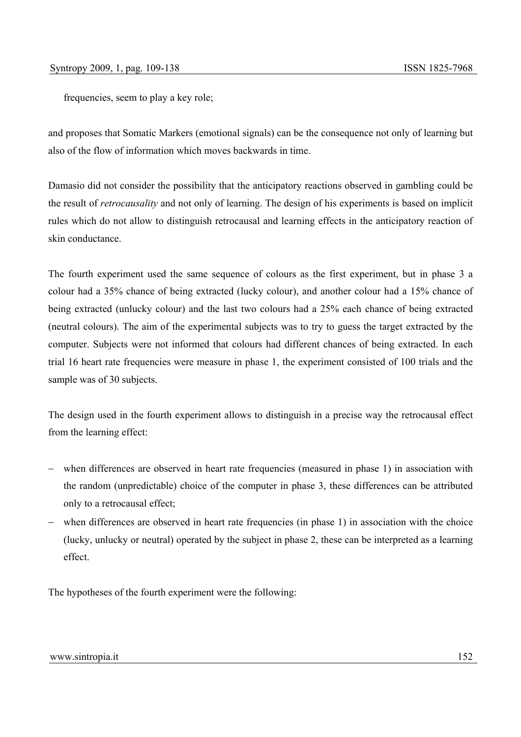frequencies, seem to play a key role;

and proposes that Somatic Markers (emotional signals) can be the consequence not only of learning but also of the flow of information which moves backwards in time.

Damasio did not consider the possibility that the anticipatory reactions observed in gambling could be the result of *retrocausality* and not only of learning. The design of his experiments is based on implicit rules which do not allow to distinguish retrocausal and learning effects in the anticipatory reaction of skin conductance.

The fourth experiment used the same sequence of colours as the first experiment, but in phase 3 a colour had a 35% chance of being extracted (lucky colour), and another colour had a 15% chance of being extracted (unlucky colour) and the last two colours had a 25% each chance of being extracted (neutral colours). The aim of the experimental subjects was to try to guess the target extracted by the computer. Subjects were not informed that colours had different chances of being extracted. In each trial 16 heart rate frequencies were measure in phase 1, the experiment consisted of 100 trials and the sample was of 30 subjects.

The design used in the fourth experiment allows to distinguish in a precise way the retrocausal effect from the learning effect:

- when differences are observed in heart rate frequencies (measured in phase 1) in association with the random (unpredictable) choice of the computer in phase 3, these differences can be attributed only to a retrocausal effect;
- − when differences are observed in heart rate frequencies (in phase 1) in association with the choice (lucky, unlucky or neutral) operated by the subject in phase 2, these can be interpreted as a learning effect.

The hypotheses of the fourth experiment were the following: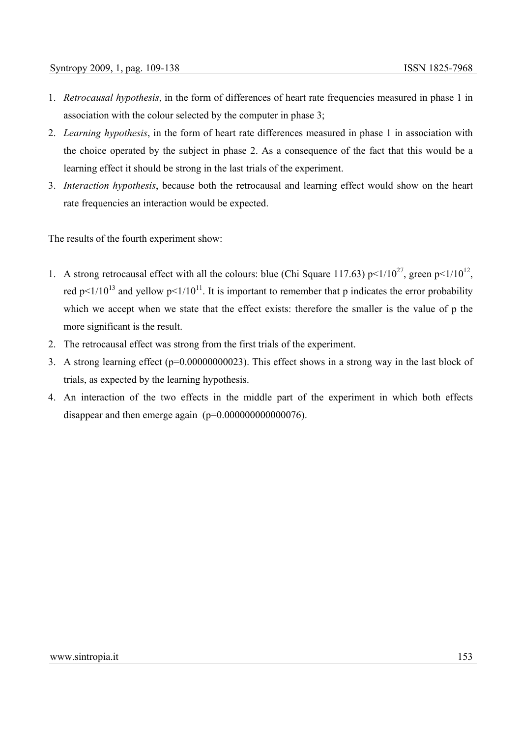- 1. *Retrocausal hypothesis*, in the form of differences of heart rate frequencies measured in phase 1 in association with the colour selected by the computer in phase 3;
- 2. *Learning hypothesis*, in the form of heart rate differences measured in phase 1 in association with the choice operated by the subject in phase 2. As a consequence of the fact that this would be a learning effect it should be strong in the last trials of the experiment.
- 3. *Interaction hypothesis*, because both the retrocausal and learning effect would show on the heart rate frequencies an interaction would be expected.

The results of the fourth experiment show:

- 1. A strong retrocausal effect with all the colours: blue (Chi Square 117.63) p<1/10<sup>27</sup>, green p<1/10<sup>12</sup>. red p<1/10<sup>13</sup> and yellow p<1/10<sup>11</sup>. It is important to remember that p indicates the error probability which we accept when we state that the effect exists: therefore the smaller is the value of p the more significant is the result.
- 2. The retrocausal effect was strong from the first trials of the experiment.
- 3. A strong learning effect (p=0.00000000023). This effect shows in a strong way in the last block of trials, as expected by the learning hypothesis.
- 4. An interaction of the two effects in the middle part of the experiment in which both effects disappear and then emerge again  $(p=0.000000000000076)$ .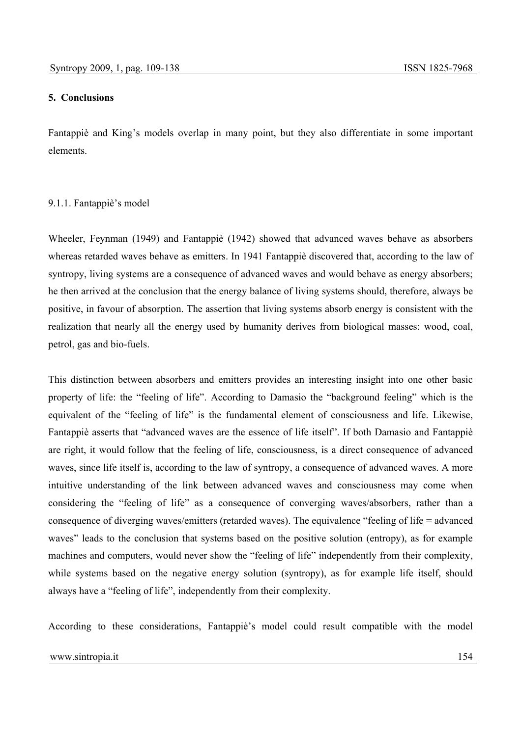# **5. Conclusions**

Fantappiè and King's models overlap in many point, but they also differentiate in some important elements.

# 9.1.1. Fantappiè's model

Wheeler, Feynman (1949) and Fantappiè (1942) showed that advanced waves behave as absorbers whereas retarded waves behave as emitters. In 1941 Fantappiè discovered that, according to the law of syntropy, living systems are a consequence of advanced waves and would behave as energy absorbers; he then arrived at the conclusion that the energy balance of living systems should, therefore, always be positive, in favour of absorption. The assertion that living systems absorb energy is consistent with the realization that nearly all the energy used by humanity derives from biological masses: wood, coal, petrol, gas and bio-fuels.

This distinction between absorbers and emitters provides an interesting insight into one other basic property of life: the "feeling of life". According to Damasio the "background feeling" which is the equivalent of the "feeling of life" is the fundamental element of consciousness and life. Likewise, Fantappiè asserts that "advanced waves are the essence of life itself". If both Damasio and Fantappiè are right, it would follow that the feeling of life, consciousness, is a direct consequence of advanced waves, since life itself is, according to the law of syntropy, a consequence of advanced waves. A more intuitive understanding of the link between advanced waves and consciousness may come when considering the "feeling of life" as a consequence of converging waves/absorbers, rather than a consequence of diverging waves/emitters (retarded waves). The equivalence "feeling of life = advanced waves" leads to the conclusion that systems based on the positive solution (entropy), as for example machines and computers, would never show the "feeling of life" independently from their complexity, while systems based on the negative energy solution (syntropy), as for example life itself, should always have a "feeling of life", independently from their complexity.

According to these considerations, Fantappiè's model could result compatible with the model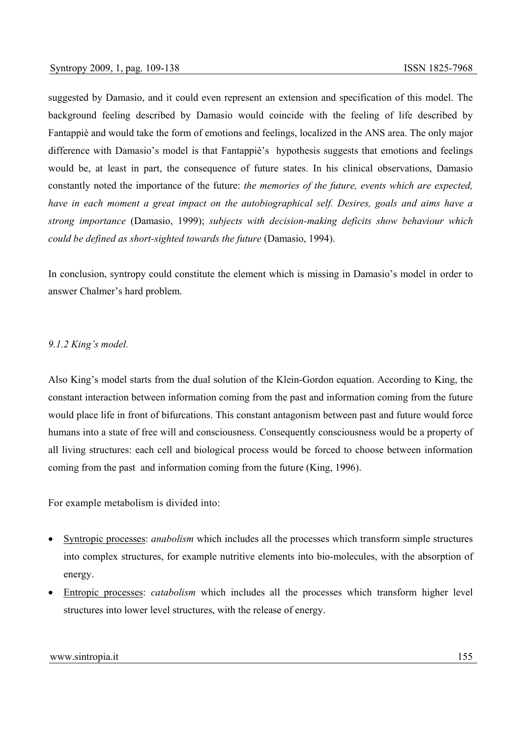suggested by Damasio, and it could even represent an extension and specification of this model. The background feeling described by Damasio would coincide with the feeling of life described by Fantappiè and would take the form of emotions and feelings, localized in the ANS area. The only major difference with Damasio's model is that Fantappiè's hypothesis suggests that emotions and feelings would be, at least in part, the consequence of future states. In his clinical observations, Damasio constantly noted the importance of the future: *the memories of the future, events which are expected, have in each moment a great impact on the autobiographical self. Desires, goals and aims have a strong importance* (Damasio, 1999); *subjects with decision-making deficits show behaviour which could be defined as short-sighted towards the future* (Damasio, 1994).

In conclusion, syntropy could constitute the element which is missing in Damasio's model in order to answer Chalmer's hard problem.

# *9.1.2 King's model.*

Also King's model starts from the dual solution of the Klein-Gordon equation. According to King, the constant interaction between information coming from the past and information coming from the future would place life in front of bifurcations. This constant antagonism between past and future would force humans into a state of free will and consciousness. Consequently consciousness would be a property of all living structures: each cell and biological process would be forced to choose between information coming from the past and information coming from the future (King, 1996).

For example metabolism is divided into:

- Syntropic processes: *anabolism* which includes all the processes which transform simple structures into complex structures, for example nutritive elements into bio-molecules, with the absorption of energy.
- Entropic processes: *catabolism* which includes all the processes which transform higher level structures into lower level structures, with the release of energy.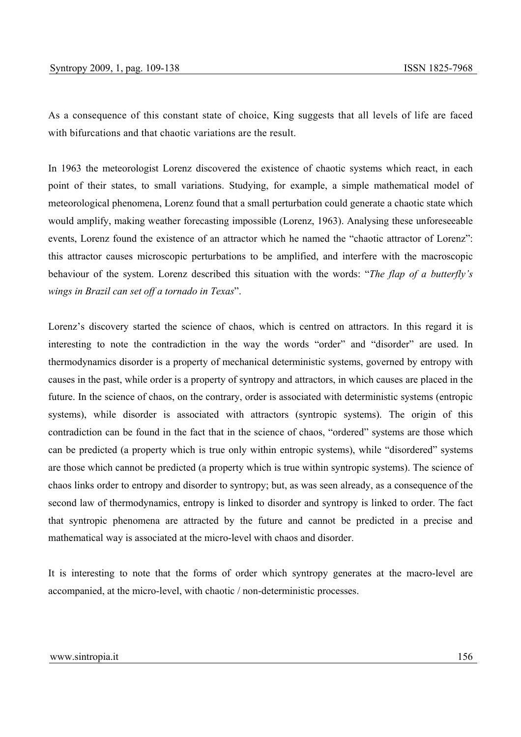As a consequence of this constant state of choice, King suggests that all levels of life are faced with bifurcations and that chaotic variations are the result.

In 1963 the meteorologist Lorenz discovered the existence of chaotic systems which react, in each point of their states, to small variations. Studying, for example, a simple mathematical model of meteorological phenomena, Lorenz found that a small perturbation could generate a chaotic state which would amplify, making weather forecasting impossible (Lorenz, 1963). Analysing these unforeseeable events, Lorenz found the existence of an attractor which he named the "chaotic attractor of Lorenz": this attractor causes microscopic perturbations to be amplified, and interfere with the macroscopic behaviour of the system. Lorenz described this situation with the words: "*The flap of a butterfly's wings in Brazil can set off a tornado in Texas*".

Lorenz's discovery started the science of chaos, which is centred on attractors. In this regard it is interesting to note the contradiction in the way the words "order" and "disorder" are used. In thermodynamics disorder is a property of mechanical deterministic systems, governed by entropy with causes in the past, while order is a property of syntropy and attractors, in which causes are placed in the future. In the science of chaos, on the contrary, order is associated with deterministic systems (entropic systems), while disorder is associated with attractors (syntropic systems). The origin of this contradiction can be found in the fact that in the science of chaos, "ordered" systems are those which can be predicted (a property which is true only within entropic systems), while "disordered" systems are those which cannot be predicted (a property which is true within syntropic systems). The science of chaos links order to entropy and disorder to syntropy; but, as was seen already, as a consequence of the second law of thermodynamics, entropy is linked to disorder and syntropy is linked to order. The fact that syntropic phenomena are attracted by the future and cannot be predicted in a precise and mathematical way is associated at the micro-level with chaos and disorder.

It is interesting to note that the forms of order which syntropy generates at the macro-level are accompanied, at the micro-level, with chaotic / non-deterministic processes.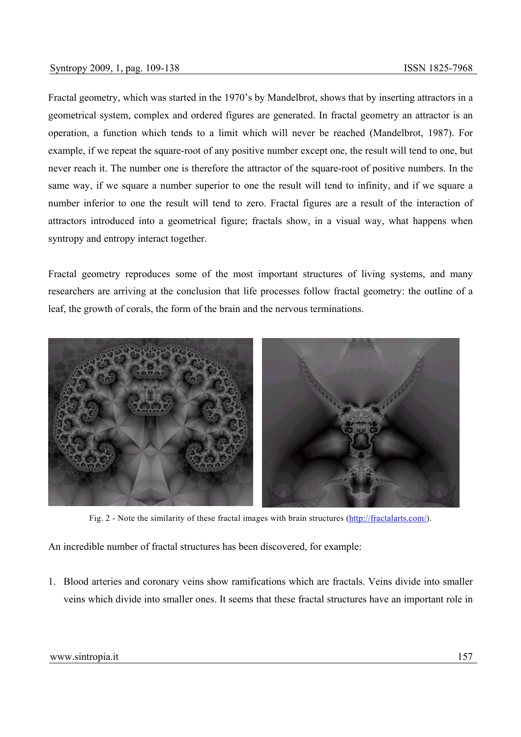Fractal geometry, which was started in the 1970's by Mandelbrot, shows that by inserting attractors in a geometrical system, complex and ordered figures are generated. In fractal geometry an attractor is an operation, a function which tends to a limit which will never be reached (Mandelbrot, 1987). For example, if we repeat the square-root of any positive number except one, the result will tend to one, but never reach it. The number one is therefore the attractor of the square-root of positive numbers. In the same way, if we square a number superior to one the result will tend to infinity, and if we square a number inferior to one the result will tend to zero. Fractal figures are a result of the interaction of attractors introduced into a geometrical figure; fractals show, in a visual way, what happens when syntropy and entropy interact together.

Fractal geometry reproduces some of the most important structures of living systems, and many researchers are arriving at the conclusion that life processes follow fractal geometry: the outline of a leaf, the growth of corals, the form of the brain and the nervous terminations.



Fig. 2 - Note the similarity of these fractal images with brain structures (http://fractalarts.com/).

An incredible number of fractal structures has been discovered, for example:

1. Blood arteries and coronary veins show ramifications which are fractals. Veins divide into smaller veins which divide into smaller ones. It seems that these fractal structures have an important role in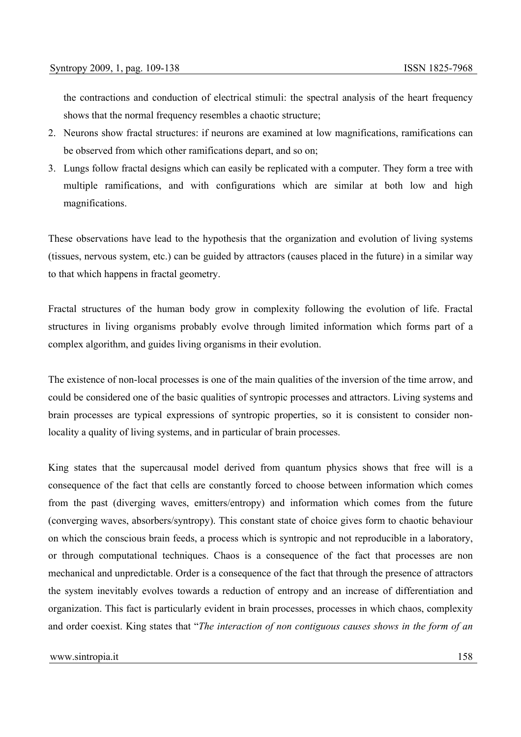the contractions and conduction of electrical stimuli: the spectral analysis of the heart frequency shows that the normal frequency resembles a chaotic structure;

- 2. Neurons show fractal structures: if neurons are examined at low magnifications, ramifications can be observed from which other ramifications depart, and so on;
- 3. Lungs follow fractal designs which can easily be replicated with a computer. They form a tree with multiple ramifications, and with configurations which are similar at both low and high magnifications.

These observations have lead to the hypothesis that the organization and evolution of living systems (tissues, nervous system, etc.) can be guided by attractors (causes placed in the future) in a similar way to that which happens in fractal geometry.

Fractal structures of the human body grow in complexity following the evolution of life. Fractal structures in living organisms probably evolve through limited information which forms part of a complex algorithm, and guides living organisms in their evolution.

The existence of non-local processes is one of the main qualities of the inversion of the time arrow, and could be considered one of the basic qualities of syntropic processes and attractors. Living systems and brain processes are typical expressions of syntropic properties, so it is consistent to consider nonlocality a quality of living systems, and in particular of brain processes.

King states that the supercausal model derived from quantum physics shows that free will is a consequence of the fact that cells are constantly forced to choose between information which comes from the past (diverging waves, emitters/entropy) and information which comes from the future (converging waves, absorbers/syntropy). This constant state of choice gives form to chaotic behaviour on which the conscious brain feeds, a process which is syntropic and not reproducible in a laboratory, or through computational techniques. Chaos is a consequence of the fact that processes are non mechanical and unpredictable. Order is a consequence of the fact that through the presence of attractors the system inevitably evolves towards a reduction of entropy and an increase of differentiation and organization. This fact is particularly evident in brain processes, processes in which chaos, complexity and order coexist. King states that "*The interaction of non contiguous causes shows in the form of an*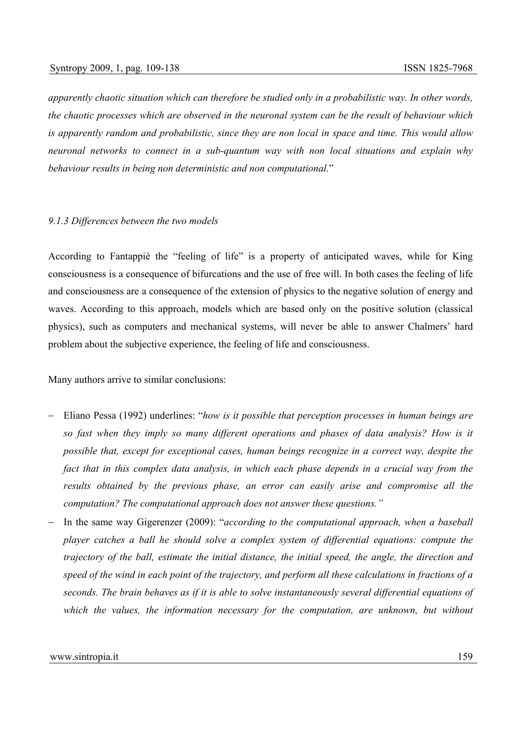*apparently chaotic situation which can therefore be studied only in a probabilistic way. In other words, the chaotic processes which are observed in the neuronal system can be the result of behaviour which is apparently random and probabilistic, since they are non local in space and time. This would allow neuronal networks to connect in a sub-quantum way with non local situations and explain why behaviour results in being non deterministic and non computational.*"

### *9.1.3 Differences between the two models*

According to Fantappiè the "feeling of life" is a property of anticipated waves, while for King consciousness is a consequence of bifurcations and the use of free will. In both cases the feeling of life and consciousness are a consequence of the extension of physics to the negative solution of energy and waves. According to this approach, models which are based only on the positive solution (classical physics), such as computers and mechanical systems, will never be able to answer Chalmers' hard problem about the subjective experience, the feeling of life and consciousness.

Many authors arrive to similar conclusions:

- − Eliano Pessa (1992) underlines: "*how is it possible that perception processes in human beings are so fast when they imply so many different operations and phases of data analysis? How is it possible that, except for exceptional cases, human beings recognize in a correct way, despite the*  fact that in this complex data analysis, in which each phase depends in a crucial way from the *results obtained by the previous phase, an error can easily arise and compromise all the computation? The computational approach does not answer these questions."*
- − In the same way Gigerenzer (2009): "*according to the computational approach, when a baseball player catches a ball he should solve a complex system of differential equations: compute the trajectory of the ball, estimate the initial distance, the initial speed, the angle, the direction and speed of the wind in each point of the trajectory, and perform all these calculations in fractions of a seconds. The brain behaves as if it is able to solve instantaneously several differential equations of which the values, the information necessary for the computation, are unknown, but without*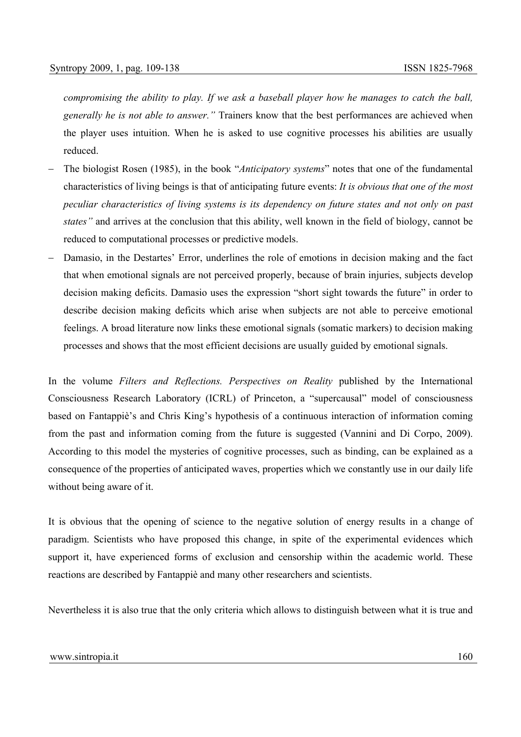*compromising the ability to play. If we ask a baseball player how he manages to catch the ball, generally he is not able to answer."* Trainers know that the best performances are achieved when the player uses intuition. When he is asked to use cognitive processes his abilities are usually reduced.

- − The biologist Rosen (1985), in the book "*Anticipatory systems*" notes that one of the fundamental characteristics of living beings is that of anticipating future events: *It is obvious that one of the most peculiar characteristics of living systems is its dependency on future states and not only on past states"* and arrives at the conclusion that this ability, well known in the field of biology, cannot be reduced to computational processes or predictive models.
- Damasio, in the Destartes' Error, underlines the role of emotions in decision making and the fact that when emotional signals are not perceived properly, because of brain injuries, subjects develop decision making deficits. Damasio uses the expression "short sight towards the future" in order to describe decision making deficits which arise when subjects are not able to perceive emotional feelings. A broad literature now links these emotional signals (somatic markers) to decision making processes and shows that the most efficient decisions are usually guided by emotional signals.

In the volume *Filters and Reflections. Perspectives on Reality* published by the International Consciousness Research Laboratory (ICRL) of Princeton, a "supercausal" model of consciousness based on Fantappiè's and Chris King's hypothesis of a continuous interaction of information coming from the past and information coming from the future is suggested (Vannini and Di Corpo, 2009). According to this model the mysteries of cognitive processes, such as binding, can be explained as a consequence of the properties of anticipated waves, properties which we constantly use in our daily life without being aware of it.

It is obvious that the opening of science to the negative solution of energy results in a change of paradigm. Scientists who have proposed this change, in spite of the experimental evidences which support it, have experienced forms of exclusion and censorship within the academic world. These reactions are described by Fantappiè and many other researchers and scientists.

Nevertheless it is also true that the only criteria which allows to distinguish between what it is true and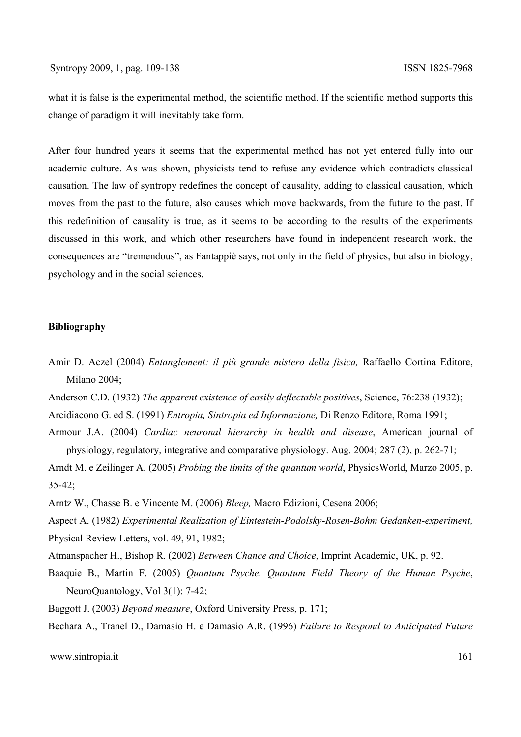what it is false is the experimental method, the scientific method. If the scientific method supports this change of paradigm it will inevitably take form.

After four hundred years it seems that the experimental method has not yet entered fully into our academic culture. As was shown, physicists tend to refuse any evidence which contradicts classical causation. The law of syntropy redefines the concept of causality, adding to classical causation, which moves from the past to the future, also causes which move backwards, from the future to the past. If this redefinition of causality is true, as it seems to be according to the results of the experiments discussed in this work, and which other researchers have found in independent research work, the consequences are "tremendous", as Fantappiè says, not only in the field of physics, but also in biology, psychology and in the social sciences.

#### **Bibliography**

- Amir D. Aczel (2004) *Entanglement: il più grande mistero della fisica,* Raffaello Cortina Editore, Milano 2004;
- Anderson C.D. (1932) *The apparent existence of easily deflectable positives*, Science, 76:238 (1932);
- Arcidiacono G. ed S. (1991) *Entropia, Sintropia ed Informazione,* Di Renzo Editore, Roma 1991;
- Armour J.A. (2004) *Cardiac neuronal hierarchy in health and disease*, American journal of physiology, regulatory, integrative and comparative physiology. Aug. 2004; 287 (2), p. 262-71;

Arndt M. e Zeilinger A. (2005) *Probing the limits of the quantum world*, PhysicsWorld, Marzo 2005, p. 35-42;

- Arntz W., Chasse B. e Vincente M. (2006) *Bleep,* Macro Edizioni, Cesena 2006;
- Aspect A. (1982) *Experimental Realization of Eintestein-Podolsky-Rosen-Bohm Gedanken-experiment,*  Physical Review Letters, vol. 49, 91, 1982;
- Atmanspacher H., Bishop R. (2002) *Between Chance and Choice*, Imprint Academic, UK, p. 92.
- Baaquie B., Martin F. (2005) *Quantum Psyche. Quantum Field Theory of the Human Psyche*, NeuroQuantology, Vol 3(1): 7-42;
- Baggott J. (2003) *Beyond measure*, Oxford University Press, p. 171;

Bechara A., Tranel D., Damasio H. e Damasio A.R. (1996) *Failure to Respond to Anticipated Future*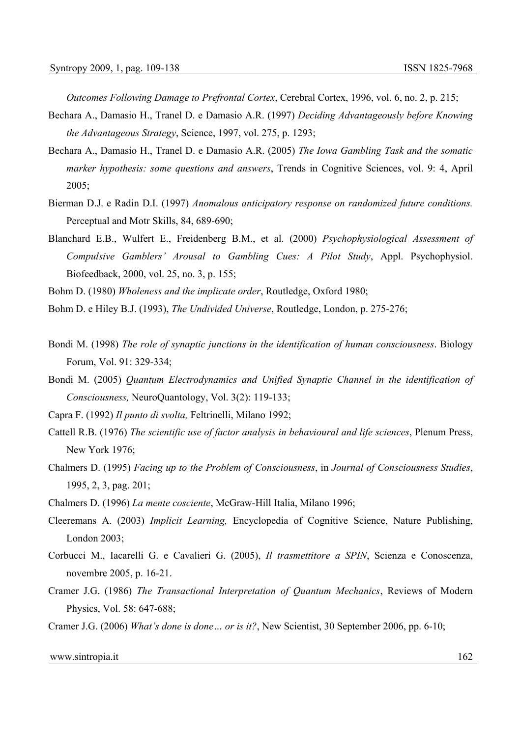*Outcomes Following Damage to Prefrontal Cortex*, Cerebral Cortex, 1996, vol. 6, no. 2, p. 215;

- Bechara A., Damasio H., Tranel D. e Damasio A.R. (1997) *Deciding Advantageously before Knowing the Advantageous Strategy*, Science, 1997, vol. 275, p. 1293;
- Bechara A., Damasio H., Tranel D. e Damasio A.R. (2005) *The Iowa Gambling Task and the somatic marker hypothesis: some questions and answers*, Trends in Cognitive Sciences, vol. 9: 4, April 2005;
- Bierman D.J. e Radin D.I. (1997) *Anomalous anticipatory response on randomized future conditions.*  Perceptual and Motr Skills, 84, 689-690;
- Blanchard E.B., Wulfert E., Freidenberg B.M., et al. (2000) *Psychophysiological Assessment of Compulsive Gamblers' Arousal to Gambling Cues: A Pilot Study*, Appl. Psychophysiol. Biofeedback, 2000, vol. 25, no. 3, p. 155;
- Bohm D. (1980) *Wholeness and the implicate order*, Routledge, Oxford 1980;
- Bohm D. e Hiley B.J. (1993), *The Undivided Universe*, Routledge, London, p. 275-276;
- Bondi M. (1998) *The role of synaptic junctions in the identification of human consciousness*. Biology Forum, Vol. 91: 329-334;
- Bondi M. (2005) *Quantum Electrodynamics and Unified Synaptic Channel in the identification of Consciousness,* NeuroQuantology, Vol. 3(2): 119-133;
- Capra F. (1992) *Il punto di svolta,* Feltrinelli, Milano 1992;
- Cattell R.B. (1976) *The scientific use of factor analysis in behavioural and life sciences*, Plenum Press, New York 1976;
- Chalmers D. (1995) *Facing up to the Problem of Consciousness*, in *Journal of Consciousness Studies*, 1995, 2, 3, pag. 201;
- Chalmers D. (1996) *La mente cosciente*, McGraw-Hill Italia, Milano 1996;
- Cleeremans A. (2003) *Implicit Learning,* Encyclopedia of Cognitive Science, Nature Publishing, London 2003;
- Corbucci M., Iacarelli G. e Cavalieri G. (2005), *Il trasmettitore a SPIN*, Scienza e Conoscenza, novembre 2005, p. 16-21.
- Cramer J.G. (1986) *The Transactional Interpretation of Quantum Mechanics*, Reviews of Modern Physics, Vol. 58: 647-688;
- Cramer J.G. (2006) *What's done is done… or is it?*, New Scientist, 30 September 2006, pp. 6-10;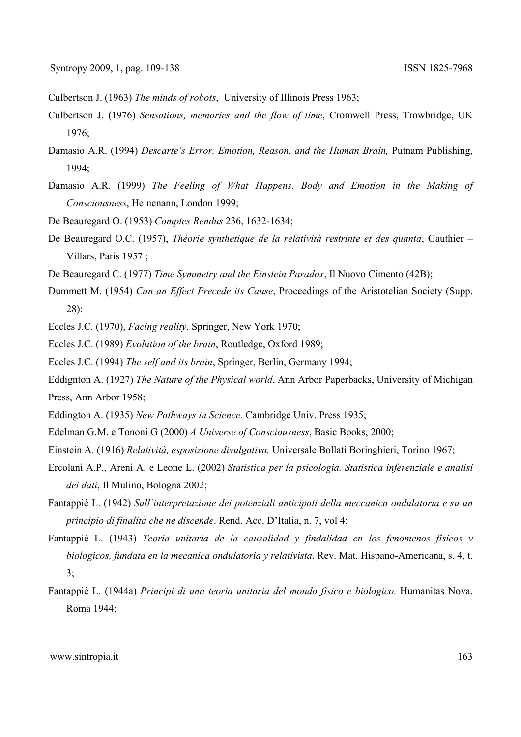Culbertson J. (1963) *The minds of robots*, University of Illinois Press 1963;

- Culbertson J. (1976) *Sensations, memories and the flow of time*, Cromwell Press, Trowbridge, UK 1976;
- Damasio A.R. (1994) *Descarte's Error. Emotion, Reason, and the Human Brain,* Putnam Publishing, 1994;
- Damasio A.R. (1999) *The Feeling of What Happens. Body and Emotion in the Making of Consciousness*, Heinenann, London 1999;
- De Beauregard O. (1953) *Comptes Rendus* 236, 1632-1634;
- De Beauregard O.C. (1957), *Théorie synthetique de la relatività restrinte et des quanta*, Gauthier Villars, Paris 1957 ;
- De Beauregard C. (1977) *Time Symmetry and the Einstein Paradox*, Il Nuovo Cimento (42B);
- Dummett M. (1954) *Can an Effect Precede its Cause*, Proceedings of the Aristotelian Society (Supp. 28);
- Eccles J.C. (1970), *Facing reality,* Springer, New York 1970;
- Eccles J.C. (1989) *Evolution of the brain*, Routledge, Oxford 1989;
- Eccles J.C. (1994) *The self and its brain*, Springer, Berlin, Germany 1994;
- Eddignton A. (1927) *The Nature of the Physical world*, Ann Arbor Paperbacks, University of Michigan Press, Ann Arbor 1958;
- Eddington A. (1935) *New Pathways in Science.* Cambridge Univ. Press 1935;
- Edelman G.M. e Tononi G (2000) *A Universe of Consciousness*, Basic Books, 2000;
- Einstein A. (1916) *Relatività, esposizione divulgativa,* Universale Bollati Boringhieri, Torino 1967;
- Ercolani A.P., Areni A. e Leone L. (2002) *Statistica per la psicologia. Statistica inferenziale e analisi dei dati*, Il Mulino, Bologna 2002;
- Fantappiè L. (1942) *Sull'interpretazione dei potenziali anticipati della meccanica ondulatoria e su un principio di finalità che ne discende*. Rend. Acc. D'Italia, n. 7, vol 4;
- Fantappiè L. (1943) *Teoria unitaria de la causalidad y findalidad en los fenomenos fisicos y biologicos, fundata en la mecanica ondulatoria y relativista*. Rev. Mat. Hispano-Americana, s. 4, t. 3;
- Fantappiè L. (1944a) *Principi di una teoria unitaria del mondo fisico e biologico.* Humanitas Nova, Roma 1944;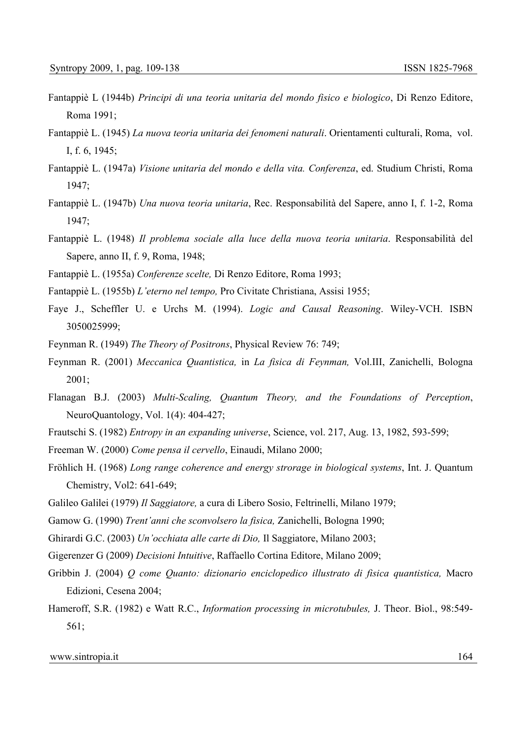- Fantappiè L (1944b) *Principi di una teoria unitaria del mondo fisico e biologico*, Di Renzo Editore, Roma 1991;
- Fantappiè L. (1945) *La nuova teoria unitaria dei fenomeni naturali*. Orientamenti culturali, Roma, vol. I, f. 6, 1945;
- Fantappiè L. (1947a) *Visione unitaria del mondo e della vita. Conferenza*, ed. Studium Christi, Roma 1947;
- Fantappiè L. (1947b) *Una nuova teoria unitaria*, Rec. Responsabilità del Sapere, anno I, f. 1-2, Roma 1947;
- Fantappiè L. (1948) *Il problema sociale alla luce della nuova teoria unitaria*. Responsabilità del Sapere, anno II, f. 9, Roma, 1948;
- Fantappiè L. (1955a) *Conferenze scelte,* Di Renzo Editore, Roma 1993;
- Fantappiè L. (1955b) *L'eterno nel tempo,* Pro Civitate Christiana, Assisi 1955;
- Faye J., Scheffler U. e Urchs M. (1994). *Logic and Causal Reasoning*. Wiley-VCH. ISBN 3050025999;
- Feynman R. (1949) *The Theory of Positrons*, Physical Review 76: 749;
- Feynman R. (2001) *Meccanica Quantistica,* in *La fisica di Feynman,* Vol.III, Zanichelli, Bologna 2001;
- Flanagan B.J. (2003) *Multi-Scaling, Quantum Theory, and the Foundations of Perception*, NeuroQuantology, Vol. 1(4): 404-427;
- Frautschi S. (1982) *Entropy in an expanding universe*, Science, vol. 217, Aug. 13, 1982, 593-599;
- Freeman W. (2000) *Come pensa il cervello*, Einaudi, Milano 2000;
- Fröhlich H. (1968) *Long range coherence and energy strorage in biological systems*, Int. J. Quantum Chemistry, Vol2: 641-649;
- Galileo Galilei (1979) *Il Saggiatore,* a cura di Libero Sosio, Feltrinelli, Milano 1979;
- Gamow G. (1990) *Trent'anni che sconvolsero la fisica,* Zanichelli, Bologna 1990;
- Ghirardi G.C. (2003) *Un'occhiata alle carte di Dio,* Il Saggiatore, Milano 2003;
- Gigerenzer G (2009) *Decisioni Intuitive*, Raffaello Cortina Editore, Milano 2009;
- Gribbin J. (2004) *Q come Quanto: dizionario enciclopedico illustrato di fisica quantistica,* Macro Edizioni, Cesena 2004;
- Hameroff, S.R. (1982) e Watt R.C., *Information processing in microtubules,* J. Theor. Biol., 98:549- 561;

```
www.sintropia.it 164
```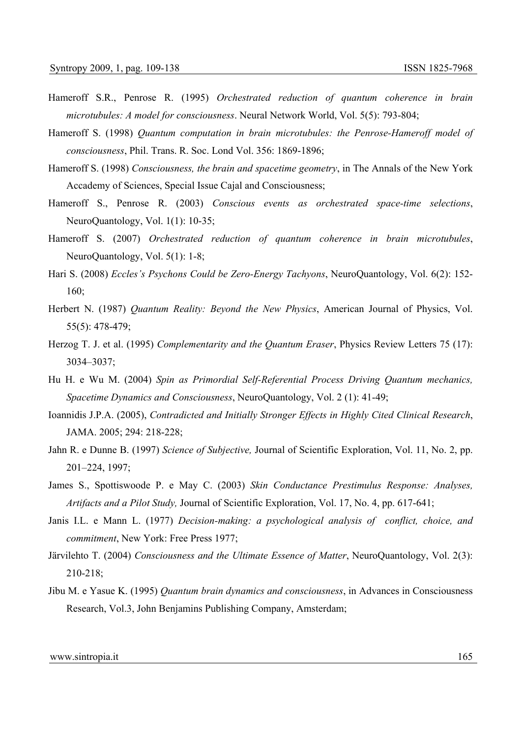- Hameroff S.R., Penrose R. (1995) *Orchestrated reduction of quantum coherence in brain microtubules: A model for consciousness*. Neural Network World, Vol. 5(5): 793-804;
- Hameroff S. (1998) *Quantum computation in brain microtubules: the Penrose-Hameroff model of consciousness*, Phil. Trans. R. Soc. Lond Vol. 356: 1869-1896;
- Hameroff S. (1998) *Consciousness, the brain and spacetime geometry*, in The Annals of the New York Accademy of Sciences, Special Issue Cajal and Consciousness;
- Hameroff S., Penrose R. (2003) *Conscious events as orchestrated space-time selections*, NeuroQuantology, Vol. 1(1): 10-35;
- Hameroff S. (2007) *Orchestrated reduction of quantum coherence in brain microtubules*, NeuroQuantology, Vol. 5(1): 1-8;
- Hari S. (2008) *Eccles's Psychons Could be Zero-Energy Tachyons*, NeuroQuantology, Vol. 6(2): 152- 160;
- Herbert N. (1987) *Quantum Reality: Beyond the New Physics*, American Journal of Physics, Vol. 55(5): 478-479;
- Herzog T. J. et al. (1995) *Complementarity and the Quantum Eraser*, Physics Review Letters 75 (17): 3034–3037;
- Hu H. e Wu M. (2004) *Spin as Primordial Self-Referential Process Driving Quantum mechanics, Spacetime Dynamics and Consciousness*, NeuroQuantology, Vol. 2 (1): 41-49;
- Ioannidis J.P.A. (2005), *Contradicted and Initially Stronger Effects in Highly Cited Clinical Research*, JAMA. 2005; 294: 218-228;
- Jahn R. e Dunne B. (1997) *Science of Subjective,* Journal of Scientific Exploration, Vol. 11, No. 2, pp. 201–224, 1997;
- James S., Spottiswoode P. e May C. (2003) *Skin Conductance Prestimulus Response: Analyses, Artifacts and a Pilot Study,* Journal of Scientific Exploration, Vol. 17, No. 4, pp. 617-641;
- Janis I.L. e Mann L. (1977) *Decision-making: a psychological analysis of conflict, choice, and commitment*, New York: Free Press 1977;
- Järvilehto T. (2004) *Consciousness and the Ultimate Essence of Matter*, NeuroQuantology, Vol. 2(3): 210-218;
- Jibu M. e Yasue K. (1995) *Quantum brain dynamics and consciousness*, in Advances in Consciousness Research, Vol.3, John Benjamins Publishing Company, Amsterdam;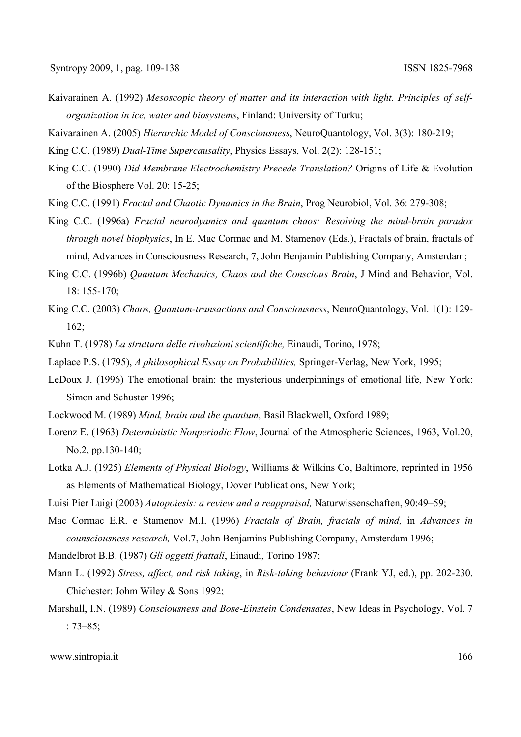- Kaivarainen A. (1992) *Mesoscopic theory of matter and its interaction with light. Principles of selforganization in ice, water and biosystems*, Finland: University of Turku;
- Kaivarainen A. (2005) *Hierarchic Model of Consciousness*, NeuroQuantology, Vol. 3(3): 180-219;
- King C.C. (1989) *Dual-Time Supercausality*, Physics Essays, Vol. 2(2): 128-151;
- King C.C. (1990) *Did Membrane Electrochemistry Precede Translation?* Origins of Life & Evolution of the Biosphere Vol. 20: 15-25;
- King C.C. (1991) *Fractal and Chaotic Dynamics in the Brain*, Prog Neurobiol, Vol. 36: 279-308;
- King C.C. (1996a) *Fractal neurodyamics and quantum chaos: Resolving the mind-brain paradox through novel biophysics*, In E. Mac Cormac and M. Stamenov (Eds.), Fractals of brain, fractals of mind, Advances in Consciousness Research, 7, John Benjamin Publishing Company, Amsterdam;
- King C.C. (1996b) *Quantum Mechanics, Chaos and the Conscious Brain*, J Mind and Behavior, Vol. 18: 155-170;
- King C.C. (2003) *Chaos, Quantum-transactions and Consciousness*, NeuroQuantology, Vol. 1(1): 129- 162;
- Kuhn T. (1978) *La struttura delle rivoluzioni scientifiche,* Einaudi, Torino, 1978;
- Laplace P.S. (1795), *A philosophical Essay on Probabilities,* Springer-Verlag, New York, 1995;
- LeDoux J. (1996) The emotional brain: the mysterious underpinnings of emotional life, New York: Simon and Schuster 1996;
- Lockwood M. (1989) *Mind, brain and the quantum*, Basil Blackwell, Oxford 1989;
- Lorenz E. (1963) *Deterministic Nonperiodic Flow*, Journal of the Atmospheric Sciences, 1963, Vol.20, No.2, pp.130-140;
- Lotka A.J. (1925) *Elements of Physical Biology*, Williams & Wilkins Co, Baltimore, reprinted in 1956 as Elements of Mathematical Biology, Dover Publications, New York;
- Luisi Pier Luigi (2003) *Autopoiesis: a review and a reappraisal,* Naturwissenschaften, 90:49–59;
- Mac Cormac E.R. e Stamenov M.I. (1996) *Fractals of Brain, fractals of mind,* in *Advances in counsciousness research,* Vol.7, John Benjamins Publishing Company, Amsterdam 1996;
- Mandelbrot B.B. (1987) *Gli oggetti frattali*, Einaudi, Torino 1987;
- Mann L. (1992) *Stress, affect, and risk taking*, in *Risk-taking behaviour* (Frank YJ, ed.), pp. 202-230. Chichester: Johm Wiley & Sons 1992;
- Marshall, I.N. (1989) *Consciousness and Bose-Einstein Condensates*, New Ideas in Psychology, Vol. 7 : 73–85;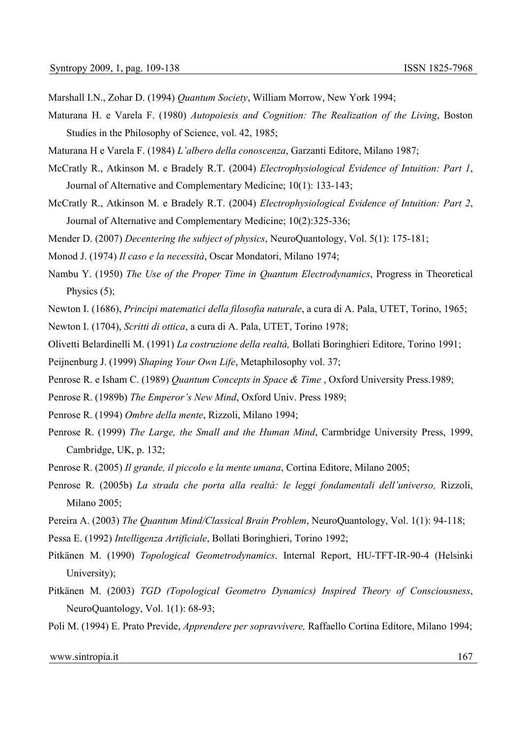Marshall I.N., Zohar D. (1994) *Quantum Society*, William Morrow, New York 1994;

- Maturana H. e Varela F. (1980) *Autopoiesis and Cognition: The Realization of the Living*, Boston Studies in the Philosophy of Science, vol. 42, 1985;
- Maturana H e Varela F. (1984) *L'albero della conoscenza*, Garzanti Editore, Milano 1987;
- McCratly R., Atkinson M. e Bradely R.T. (2004) *Electrophysiological Evidence of Intuition: Part 1*, Journal of Alternative and Complementary Medicine; 10(1): 133-143;
- McCratly R., Atkinson M. e Bradely R.T. (2004) *Electrophysiological Evidence of Intuition: Part 2*, Journal of Alternative and Complementary Medicine; 10(2):325-336;
- Mender D. (2007) *Decentering the subject of physics*, NeuroQuantology, Vol. 5(1): 175-181;
- Monod J. (1974) *Il caso e la necessità*, Oscar Mondatori, Milano 1974;
- Nambu Y. (1950) *The Use of the Proper Time in Quantum Electrodynamics*, Progress in Theoretical Physics  $(5)$ ;
- Newton I. (1686), *Principi matematici della filosofia naturale*, a cura di A. Pala, UTET, Torino, 1965;
- Newton I. (1704), *Scritti di ottica*, a cura di A. Pala, UTET, Torino 1978;
- Olivetti Belardinelli M. (1991) *La costruzione della realtà,* Bollati Boringhieri Editore, Torino 1991;
- Peijnenburg J. (1999) *Shaping Your Own Life*, Metaphilosophy vol. 37;
- Penrose R. e Isham C. (1989) *Quantum Concepts in Space & Time* , Oxford University Press.1989;
- Penrose R. (1989b) *The Emperor's New Mind*, Oxford Univ. Press 1989;
- Penrose R. (1994) *Ombre della mente*, Rizzoli, Milano 1994;
- Penrose R. (1999) *The Large, the Small and the Human Mind*, Carmbridge University Press, 1999, Cambridge, UK, p. 132;
- Penrose R. (2005) *Il grande, il piccolo e la mente umana*, Cortina Editore, Milano 2005;
- Penrose R. (2005b) *La strada che porta alla realtà: le leggi fondamentali dell'universo,* Rizzoli, Milano 2005;
- Pereira A. (2003) *The Quantum Mind/Classical Brain Problem*, NeuroQuantology, Vol. 1(1): 94-118;
- Pessa E. (1992) *Intelligenza Artificiale*, Bollati Boringhieri, Torino 1992;
- Pitkänen M. (1990) *Topological Geometrodynamics*. Internal Report, HU-TFT-IR-90-4 (Helsinki University);
- Pitkänen M. (2003) *TGD (Topological Geometro Dynamics) Inspired Theory of Consciousness*, NeuroQuantology, Vol. 1(1): 68-93;
- Poli M. (1994) E. Prato Previde, *Apprendere per sopravvivere,* Raffaello Cortina Editore, Milano 1994;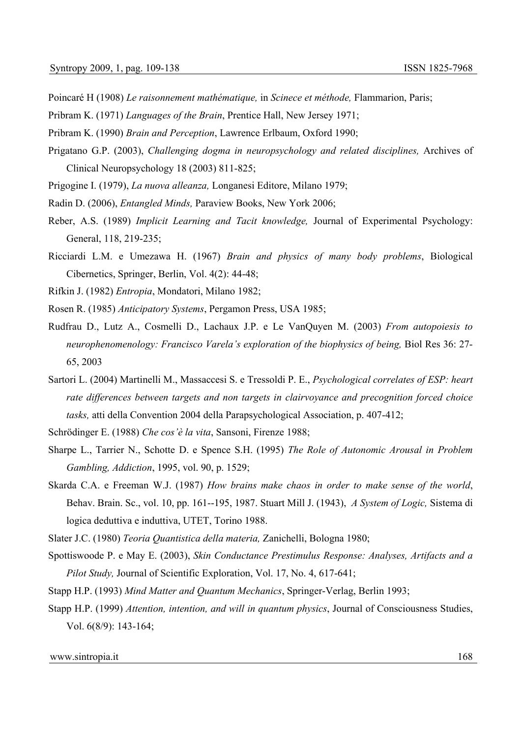- Poincaré H (1908) *Le raisonnement mathématique,* in *Scinece et méthode,* Flammarion, Paris;
- Pribram K. (1971) *Languages of the Brain*, Prentice Hall, New Jersey 1971;
- Pribram K. (1990) *Brain and Perception*, Lawrence Erlbaum, Oxford 1990;
- Prigatano G.P. (2003), *Challenging dogma in neuropsychology and related disciplines,* Archives of Clinical Neuropsychology 18 (2003) 811-825;
- Prigogine I. (1979), *La nuova alleanza,* Longanesi Editore, Milano 1979;
- Radin D. (2006), *Entangled Minds,* Paraview Books, New York 2006;
- Reber, A.S. (1989) *Implicit Learning and Tacit knowledge,* Journal of Experimental Psychology: General, 118, 219-235;
- Ricciardi L.M. e Umezawa H. (1967) *Brain and physics of many body problems*, Biological Cibernetics, Springer, Berlin, Vol. 4(2): 44-48;
- Rifkin J. (1982) *Entropia*, Mondatori, Milano 1982;
- Rosen R. (1985) *Anticipatory Systems*, Pergamon Press, USA 1985;
- Rudfrau D., Lutz A., Cosmelli D., Lachaux J.P. e Le VanQuyen M. (2003) *From autopoiesis to neurophenomenology: Francisco Varela's exploration of the biophysics of being, Biol Res 36: 27-*65, 2003
- Sartori L. (2004) Martinelli M., Massaccesi S. e Tressoldi P. E., *Psychological correlates of ESP: heart rate differences between targets and non targets in clairvoyance and precognition forced choice tasks,* atti della Convention 2004 della Parapsychological Association, p. 407-412;
- Schrödinger E. (1988) *Che cos'è la vita*, Sansoni, Firenze 1988;
- Sharpe L., Tarrier N., Schotte D. e Spence S.H. (1995) *The Role of Autonomic Arousal in Problem Gambling, Addiction*, 1995, vol. 90, p. 1529;
- Skarda C.A. e Freeman W.J. (1987) *How brains make chaos in order to make sense of the world*, Behav. Brain. Sc., vol. 10, pp. 161--195, 1987. Stuart Mill J. (1943), *A System of Logic,* Sistema di logica deduttiva e induttiva, UTET, Torino 1988.

Slater J.C. (1980) *Teoria Quantistica della materia,* Zanichelli, Bologna 1980;

- Spottiswoode P. e May E. (2003), *Skin Conductance Prestimulus Response: Analyses, Artifacts and a Pilot Study,* Journal of Scientific Exploration, Vol. 17, No. 4, 617-641;
- Stapp H.P. (1993) *Mind Matter and Quantum Mechanics*, Springer-Verlag, Berlin 1993;
- Stapp H.P. (1999) *Attention, intention, and will in quantum physics*, Journal of Consciousness Studies, Vol. 6(8/9): 143-164;